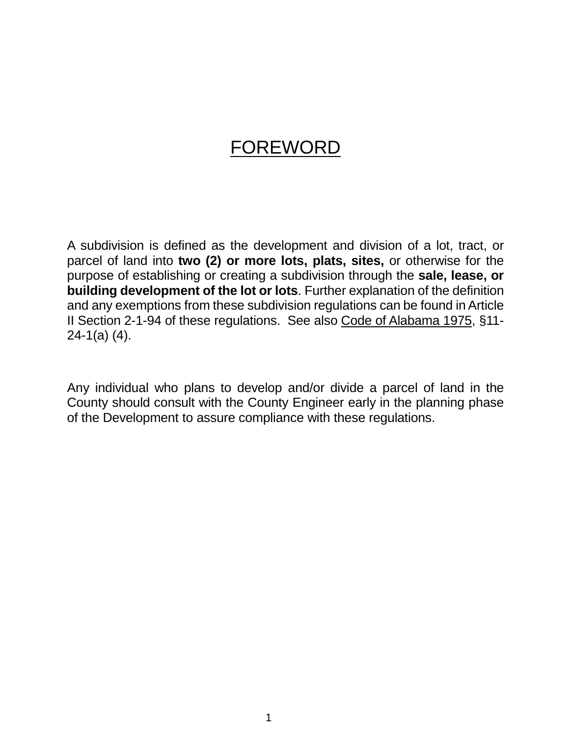# FOREWORD

A subdivision is defined as the development and division of a lot, tract, or parcel of land into **two (2) or more lots, plats, sites,** or otherwise for the purpose of establishing or creating a subdivision through the **sale, lease, or building development of the lot or lots**. Further explanation of the definition and any exemptions from these subdivision regulations can be found in Article II Section 2-1-94 of these regulations. See also Code of Alabama 1975, §11- 24-1(a) (4).

Any individual who plans to develop and/or divide a parcel of land in the County should consult with the County Engineer early in the planning phase of the Development to assure compliance with these regulations.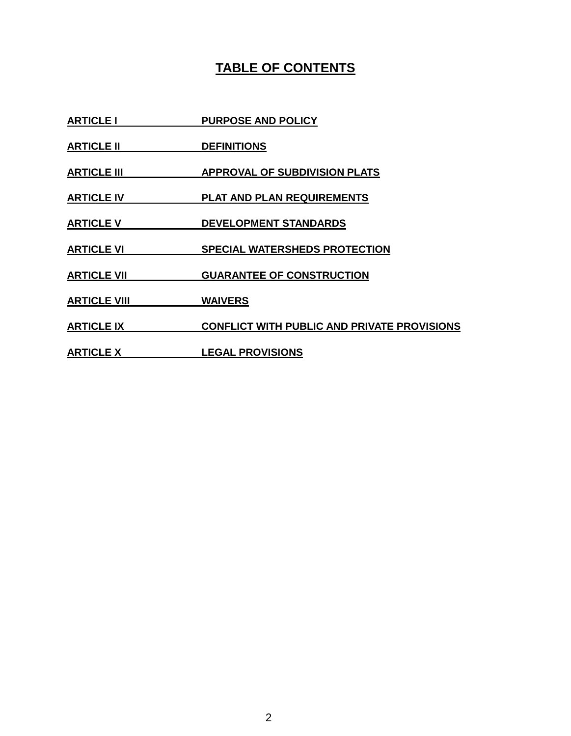# **TABLE OF CONTENTS**

- **ARTICLE I PURPOSE AND POLICY**
- **ARTICLE II** DEFINITIONS
- **ARTICLE III APPROVAL OF SUBDIVISION PLATS**
- **ARTICLE IV PLAT AND PLAN REQUIREMENTS**
- **ARTICLE V DEVELOPMENT STANDARDS**
- **ARTICLE VI SPECIAL WATERSHEDS PROTECTION**
- **ARTICLE VII GUARANTEE OF CONSTRUCTION**
- **ARTICLE VIII WAIVERS**
- **ARTICLE IX CONFLICT WITH PUBLIC AND PRIVATE PROVISIONS**
- **ARTICLE X LEGAL PROVISIONS**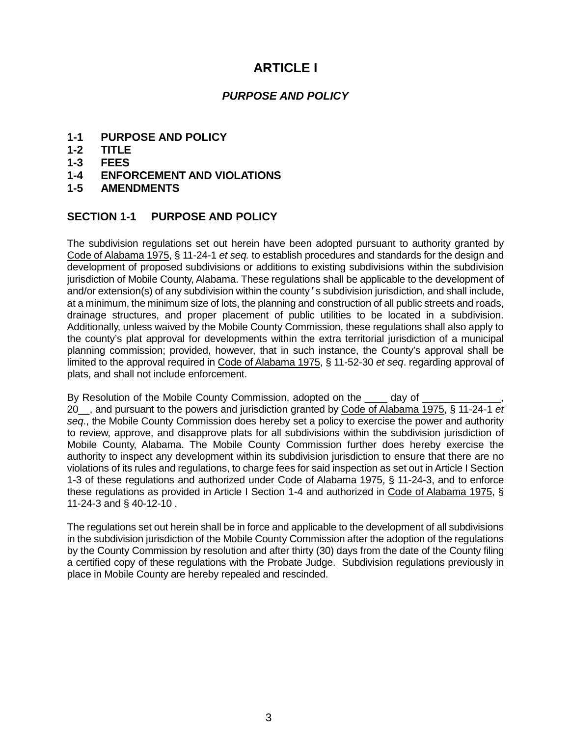# **ARTICLE I**

### *PURPOSE AND POLICY*

- **1-1 PURPOSE AND POLICY**
- **1-2 TITLE**
- **1-3 FEES**
- **1-4 ENFORCEMENT AND VIOLATIONS**
- **1-5 AMENDMENTS**

### **SECTION 1-1 PURPOSE AND POLICY**

The subdivision regulations set out herein have been adopted pursuant to authority granted by Code of Alabama 1975, § 11-24-1 *et seq.* to establish procedures and standards for the design and development of proposed subdivisions or additions to existing subdivisions within the subdivision jurisdiction of Mobile County, Alabama. These regulations shall be applicable to the development of and/or extension(s) of any subdivision within the county's subdivision jurisdiction, and shall include, at a minimum, the minimum size of lots, the planning and construction of all public streets and roads, drainage structures, and proper placement of public utilities to be located in a subdivision. Additionally, unless waived by the Mobile County Commission, these regulations shall also apply to the county's plat approval for developments within the extra territorial jurisdiction of a municipal planning commission; provided, however, that in such instance, the County's approval shall be limited to the approval required in Code of Alabama 1975, § 11-52-30 *et seq*. regarding approval of plats, and shall not include enforcement.

By Resolution of the Mobile County Commission, adopted on the \_\_\_\_ day of 20\_\_, and pursuant to the powers and jurisdiction granted by Code of Alabama 1975, § 11-24-1 *et seq*., the Mobile County Commission does hereby set a policy to exercise the power and authority to review, approve, and disapprove plats for all subdivisions within the subdivision jurisdiction of Mobile County, Alabama. The Mobile County Commission further does hereby exercise the authority to inspect any development within its subdivision jurisdiction to ensure that there are no violations of its rules and regulations, to charge fees for said inspection as set out in Article I Section 1-3 of these regulations and authorized under Code of Alabama 1975, § 11-24-3, and to enforce these regulations as provided in Article I Section 1-4 and authorized in Code of Alabama 1975, § 11-24-3 and § 40-12-10 .

The regulations set out herein shall be in force and applicable to the development of all subdivisions in the subdivision jurisdiction of the Mobile County Commission after the adoption of the regulations by the County Commission by resolution and after thirty (30) days from the date of the County filing a certified copy of these regulations with the Probate Judge. Subdivision regulations previously in place in Mobile County are hereby repealed and rescinded.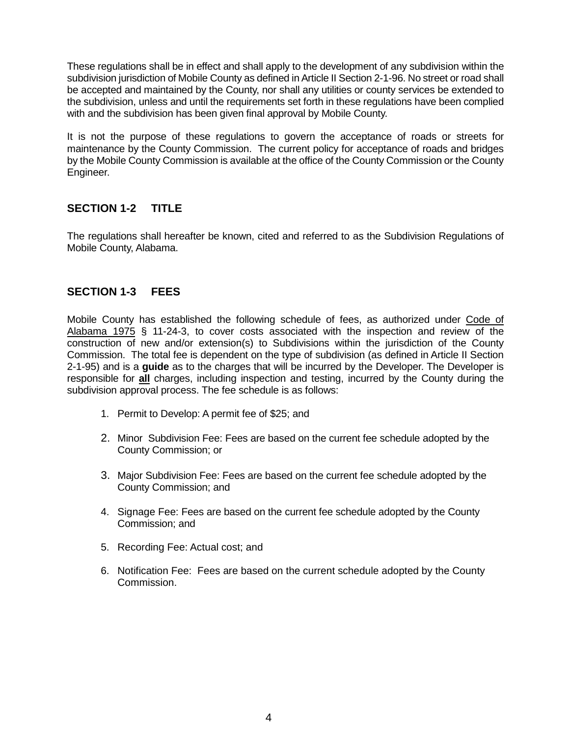These regulations shall be in effect and shall apply to the development of any subdivision within the subdivision jurisdiction of Mobile County as defined in Article II Section 2-1-96. No street or road shall be accepted and maintained by the County, nor shall any utilities or county services be extended to the subdivision, unless and until the requirements set forth in these regulations have been complied with and the subdivision has been given final approval by Mobile County.

It is not the purpose of these regulations to govern the acceptance of roads or streets for maintenance by the County Commission. The current policy for acceptance of roads and bridges by the Mobile County Commission is available at the office of the County Commission or the County Engineer.

### **SECTION 1-2 TITLE**

The regulations shall hereafter be known, cited and referred to as the Subdivision Regulations of Mobile County, Alabama.

### **SECTION 1-3 FEES**

Mobile County has established the following schedule of fees, as authorized under Code of Alabama 1975 § 11-24-3, to cover costs associated with the inspection and review of the construction of new and/or extension(s) to Subdivisions within the jurisdiction of the County Commission. The total fee is dependent on the type of subdivision (as defined in Article II Section 2-1-95) and is a **guide** as to the charges that will be incurred by the Developer. The Developer is responsible for **all** charges, including inspection and testing, incurred by the County during the subdivision approval process. The fee schedule is as follows:

- 1. Permit to Develop: A permit fee of \$25; and
- 2. Minor Subdivision Fee: Fees are based on the current fee schedule adopted by the County Commission; or
- 3. Major Subdivision Fee: Fees are based on the current fee schedule adopted by the County Commission; and
- 4. Signage Fee: Fees are based on the current fee schedule adopted by the County Commission; and
- 5. Recording Fee: Actual cost; and
- 6. Notification Fee: Fees are based on the current schedule adopted by the County Commission.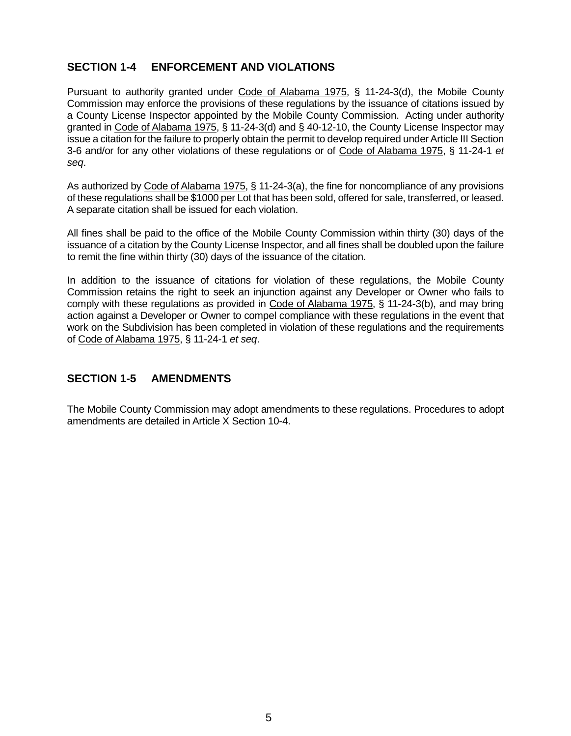### **SECTION 1-4 ENFORCEMENT AND VIOLATIONS**

Pursuant to authority granted under Code of Alabama 1975, § 11-24-3(d), the Mobile County Commission may enforce the provisions of these regulations by the issuance of citations issued by a County License Inspector appointed by the Mobile County Commission. Acting under authority granted in Code of Alabama 1975, § 11-24-3(d) and § 40-12-10, the County License Inspector may issue a citation for the failure to properly obtain the permit to develop required under Article III Section 3-6 and/or for any other violations of these regulations or of Code of Alabama 1975, § 11-24-1 *et seq*.

As authorized by Code of Alabama 1975, § 11-24-3(a), the fine for noncompliance of any provisions of these regulations shall be \$1000 per Lot that has been sold, offered for sale, transferred, or leased. A separate citation shall be issued for each violation.

All fines shall be paid to the office of the Mobile County Commission within thirty (30) days of the issuance of a citation by the County License Inspector, and all fines shall be doubled upon the failure to remit the fine within thirty (30) days of the issuance of the citation.

In addition to the issuance of citations for violation of these regulations, the Mobile County Commission retains the right to seek an injunction against any Developer or Owner who fails to comply with these regulations as provided in Code of Alabama 1975, § 11-24-3(b), and may bring action against a Developer or Owner to compel compliance with these regulations in the event that work on the Subdivision has been completed in violation of these regulations and the requirements of Code of Alabama 1975, § 11-24-1 *et seq*.

### **SECTION 1-5 AMENDMENTS**

The Mobile County Commission may adopt amendments to these regulations. Procedures to adopt amendments are detailed in Article X Section 10-4.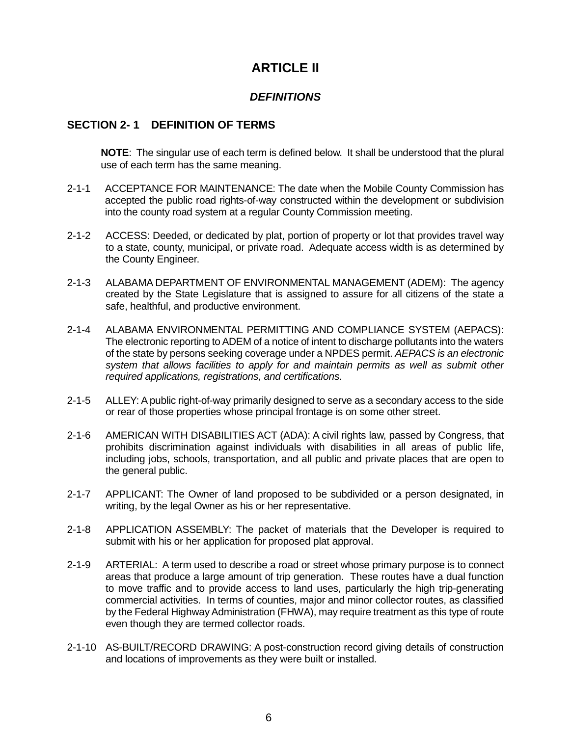# **ARTICLE II**

### *DEFINITIONS*

### **SECTION 2- 1 DEFINITION OF TERMS**

**NOTE**: The singular use of each term is defined below. It shall be understood that the plural use of each term has the same meaning.

- 2-1-1 ACCEPTANCE FOR MAINTENANCE: The date when the Mobile County Commission has accepted the public road rights-of-way constructed within the development or subdivision into the county road system at a regular County Commission meeting.
- 2-1-2 ACCESS: Deeded, or dedicated by plat, portion of property or lot that provides travel way to a state, county, municipal, or private road. Adequate access width is as determined by the County Engineer.
- 2-1-3 ALABAMA DEPARTMENT OF ENVIRONMENTAL MANAGEMENT (ADEM): The agency created by the State Legislature that is assigned to assure for all citizens of the state a safe, healthful, and productive environment.
- 2-1-4 ALABAMA ENVIRONMENTAL PERMITTING AND COMPLIANCE SYSTEM (AEPACS): The electronic reporting to ADEM of a notice of intent to discharge pollutants into the waters of the state by persons seeking coverage under a NPDES permit. *AEPACS is an electronic system that allows facilities to apply for and maintain permits as well as submit other required applications, registrations, and certifications.*
- 2-1-5 ALLEY: A public right-of-way primarily designed to serve as a secondary access to the side or rear of those properties whose principal frontage is on some other street.
- 2-1-6 AMERICAN WITH DISABILITIES ACT (ADA): A civil rights law, passed by Congress, that prohibits discrimination against individuals with disabilities in all areas of public life, including jobs, schools, transportation, and all public and private places that are open to the general public.
- 2-1-7 APPLICANT: The Owner of land proposed to be subdivided or a person designated, in writing, by the legal Owner as his or her representative.
- 2-1-8 APPLICATION ASSEMBLY: The packet of materials that the Developer is required to submit with his or her application for proposed plat approval.
- 2-1-9 ARTERIAL: A term used to describe a road or street whose primary purpose is to connect areas that produce a large amount of trip generation. These routes have a dual function to move traffic and to provide access to land uses, particularly the high trip-generating commercial activities. In terms of counties, major and minor collector routes, as classified by the Federal Highway Administration (FHWA), may require treatment as this type of route even though they are termed collector roads.
- 2-1-10 AS-BUILT/RECORD DRAWING: A post-construction record giving details of construction and locations of improvements as they were built or installed.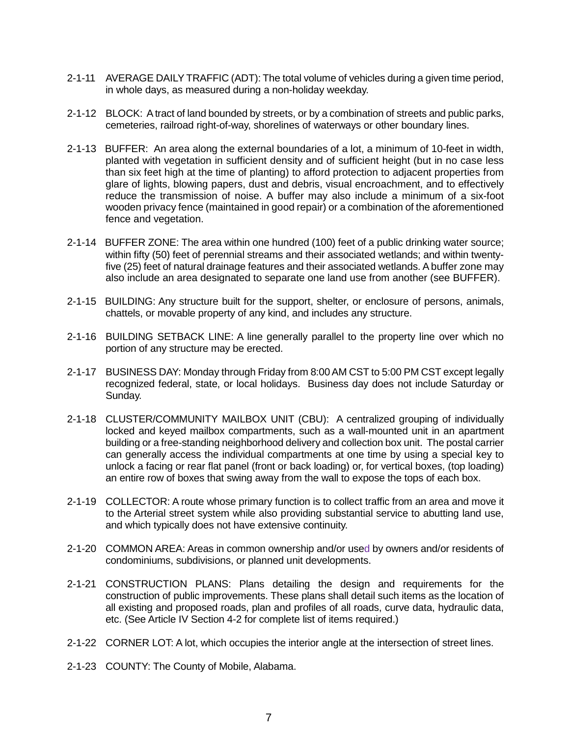- 2-1-11 AVERAGE DAILY TRAFFIC (ADT): The total volume of vehicles during a given time period, in whole days, as measured during a non-holiday weekday.
- 2-1-12 BLOCK: A tract of land bounded by streets, or by a combination of streets and public parks, cemeteries, railroad right-of-way, shorelines of waterways or other boundary lines.
- 2-1-13 BUFFER: An area along the external boundaries of a lot, a minimum of 10-feet in width, planted with vegetation in sufficient density and of sufficient height (but in no case less than six feet high at the time of planting) to afford protection to adjacent properties from glare of lights, blowing papers, dust and debris, visual encroachment, and to effectively reduce the transmission of noise. A buffer may also include a minimum of a six-foot wooden privacy fence (maintained in good repair) or a combination of the aforementioned fence and vegetation.
- 2-1-14 BUFFER ZONE: The area within one hundred (100) feet of a public drinking water source; within fifty (50) feet of perennial streams and their associated wetlands; and within twentyfive (25) feet of natural drainage features and their associated wetlands. A buffer zone may also include an area designated to separate one land use from another (see BUFFER).
- 2-1-15 BUILDING: Any structure built for the support, shelter, or enclosure of persons, animals, chattels, or movable property of any kind, and includes any structure.
- 2-1-16 BUILDING SETBACK LINE: A line generally parallel to the property line over which no portion of any structure may be erected.
- 2-1-17 BUSINESS DAY: Monday through Friday from 8:00 AM CST to 5:00 PM CST except legally recognized federal, state, or local holidays. Business day does not include Saturday or Sunday.
- 2-1-18 CLUSTER/COMMUNITY MAILBOX UNIT (CBU): A centralized grouping of individually locked and keyed mailbox compartments, such as a wall-mounted unit in an apartment building or a free-standing neighborhood delivery and collection box unit. The postal carrier can generally access the individual compartments at one time by using a special key to unlock a facing or rear flat panel (front or back loading) or, for vertical boxes, (top loading) an entire row of boxes that swing away from the wall to expose the tops of each box.
- 2-1-19 COLLECTOR: A route whose primary function is to collect traffic from an area and move it to the Arterial street system while also providing substantial service to abutting land use, and which typically does not have extensive continuity.
- 2-1-20 COMMON AREA: Areas in common ownership and/or used by owners and/or residents of condominiums, subdivisions, or planned unit developments.
- 2-1-21 CONSTRUCTION PLANS: Plans detailing the design and requirements for the construction of public improvements. These plans shall detail such items as the location of all existing and proposed roads, plan and profiles of all roads, curve data, hydraulic data, etc. (See Article IV Section 4-2 for complete list of items required.)
- 2-1-22 CORNER LOT: A lot, which occupies the interior angle at the intersection of street lines.
- 2-1-23 COUNTY: The County of Mobile, Alabama.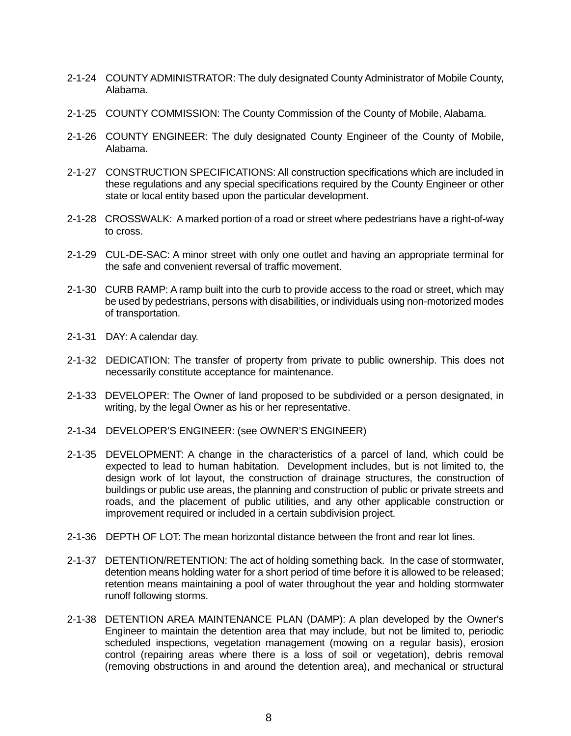- 2-1-24 COUNTY ADMINISTRATOR: The duly designated County Administrator of Mobile County, Alabama.
- 2-1-25 COUNTY COMMISSION: The County Commission of the County of Mobile, Alabama.
- 2-1-26 COUNTY ENGINEER: The duly designated County Engineer of the County of Mobile, Alabama.
- 2-1-27 CONSTRUCTION SPECIFICATIONS: All construction specifications which are included in these regulations and any special specifications required by the County Engineer or other state or local entity based upon the particular development.
- 2-1-28 CROSSWALK: A marked portion of a road or street where pedestrians have a right-of-way to cross.
- 2-1-29 CUL-DE-SAC: A minor street with only one outlet and having an appropriate terminal for the safe and convenient reversal of traffic movement.
- 2-1-30 CURB RAMP: A ramp built into the curb to provide access to the road or street, which may be used by pedestrians, persons with disabilities, or individuals using non-motorized modes of transportation.
- 2-1-31 DAY: A calendar day.
- 2-1-32 DEDICATION: The transfer of property from private to public ownership. This does not necessarily constitute acceptance for maintenance.
- 2-1-33 DEVELOPER: The Owner of land proposed to be subdivided or a person designated, in writing, by the legal Owner as his or her representative.
- 2-1-34 DEVELOPER'S ENGINEER: (see OWNER'S ENGINEER)
- 2-1-35 DEVELOPMENT: A change in the characteristics of a parcel of land, which could be expected to lead to human habitation. Development includes, but is not limited to, the design work of lot layout, the construction of drainage structures, the construction of buildings or public use areas, the planning and construction of public or private streets and roads, and the placement of public utilities, and any other applicable construction or improvement required or included in a certain subdivision project.
- 2-1-36 DEPTH OF LOT: The mean horizontal distance between the front and rear lot lines.
- 2-1-37 DETENTION/RETENTION: The act of holding something back. In the case of stormwater, detention means holding water for a short period of time before it is allowed to be released; retention means maintaining a pool of water throughout the year and holding stormwater runoff following storms.
- 2-1-38 DETENTION AREA MAINTENANCE PLAN (DAMP): A plan developed by the Owner's Engineer to maintain the detention area that may include, but not be limited to, periodic scheduled inspections, vegetation management (mowing on a regular basis), erosion control (repairing areas where there is a loss of soil or vegetation), debris removal (removing obstructions in and around the detention area), and mechanical or structural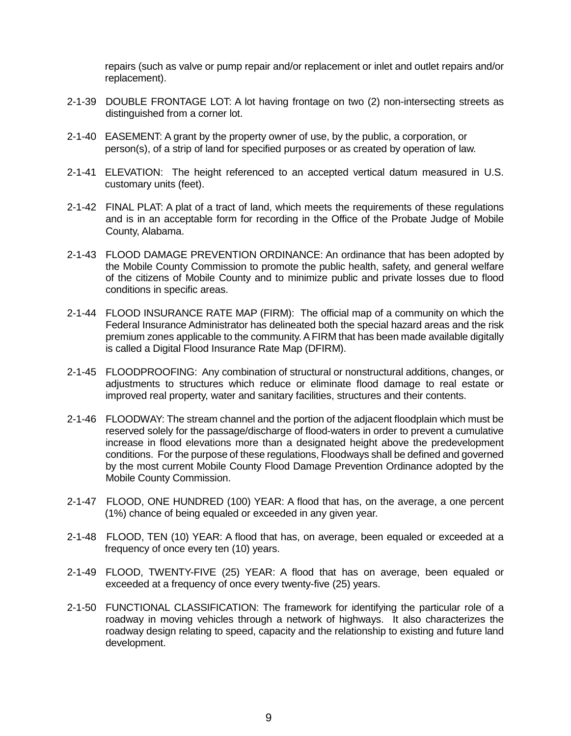repairs (such as valve or pump repair and/or replacement or inlet and outlet repairs and/or replacement).

- 2-1-39 DOUBLE FRONTAGE LOT: A lot having frontage on two (2) non-intersecting streets as distinguished from a corner lot.
- 2-1-40 EASEMENT: A grant by the property owner of use, by the public, a corporation, or person(s), of a strip of land for specified purposes or as created by operation of law.
- 2-1-41 ELEVATION: The height referenced to an accepted vertical datum measured in U.S. customary units (feet).
- 2-1-42 FINAL PLAT: A plat of a tract of land, which meets the requirements of these regulations and is in an acceptable form for recording in the Office of the Probate Judge of Mobile County, Alabama.
- 2-1-43 FLOOD DAMAGE PREVENTION ORDINANCE: An ordinance that has been adopted by the Mobile County Commission to promote the public health, safety, and general welfare of the citizens of Mobile County and to minimize public and private losses due to flood conditions in specific areas.
- 2-1-44 FLOOD INSURANCE RATE MAP (FIRM): The official map of a community on which the Federal Insurance Administrator has delineated both the special hazard areas and the risk premium zones applicable to the community. A FIRM that has been made available digitally is called a Digital Flood Insurance Rate Map (DFIRM).
- 2-1-45 FLOODPROOFING: Any combination of structural or nonstructural additions, changes, or adjustments to structures which reduce or eliminate flood damage to real estate or improved real property, water and sanitary facilities, structures and their contents.
- 2-1-46 FLOODWAY: The stream channel and the portion of the adjacent floodplain which must be reserved solely for the passage/discharge of flood-waters in order to prevent a cumulative increase in flood elevations more than a designated height above the predevelopment conditions. For the purpose of these regulations, Floodways shall be defined and governed by the most current Mobile County Flood Damage Prevention Ordinance adopted by the Mobile County Commission.
- 2-1-47FLOOD, ONE HUNDRED (100) YEAR: A flood that has, on the average, a one percent (1%) chance of being equaled or exceeded in any given year.
- 2-1-48FLOOD, TEN (10) YEAR: A flood that has, on average, been equaled or exceeded at a frequency of once every ten (10) years.
- 2-1-49 FLOOD, TWENTY-FIVE (25) YEAR: A flood that has on average, been equaled or exceeded at a frequency of once every twenty-five (25) years.
- 2-1-50 FUNCTIONAL CLASSIFICATION: The framework for identifying the particular role of a roadway in moving vehicles through a network of highways. It also characterizes the roadway design relating to speed, capacity and the relationship to existing and future land development.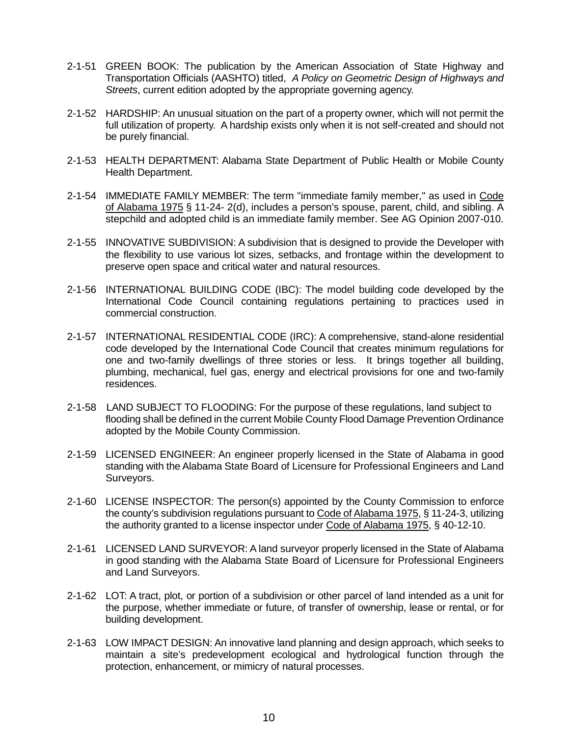- 2-1-51 GREEN BOOK: The publication by the American Association of State Highway and Transportation Officials (AASHTO) titled, *A Policy on Geometric Design of Highways and Streets*, current edition adopted by the appropriate governing agency.
- 2-1-52 HARDSHIP: An unusual situation on the part of a property owner, which will not permit the full utilization of property. A hardship exists only when it is not self-created and should not be purely financial.
- 2-1-53 HEALTH DEPARTMENT: Alabama State Department of Public Health or Mobile County Health Department.
- 2-1-54 IMMEDIATE FAMILY MEMBER: The term "immediate family member," as used in Code of Alabama 1975 § 11-24- 2(d), includes a person's spouse, parent, child, and sibling. A stepchild and adopted child is an immediate family member. See AG Opinion 2007-010.
- 2-1-55 INNOVATIVE SUBDIVISION: A subdivision that is designed to provide the Developer with the flexibility to use various lot sizes, setbacks, and frontage within the development to preserve open space and critical water and natural resources.
- 2-1-56 INTERNATIONAL BUILDING CODE (IBC): The model building code developed by the International Code Council containing regulations pertaining to practices used in commercial construction.
- 2-1-57 INTERNATIONAL RESIDENTIAL CODE (IRC): A comprehensive, stand-alone residential code developed by the International Code Council that creates minimum regulations for one and two-family dwellings of three stories or less. It brings together all building, plumbing, mechanical, fuel gas, energy and electrical provisions for one and two-family residences.
- 2-1-58 LAND SUBJECT TO FLOODING: For the purpose of these regulations, land subject to flooding shall be defined in the current Mobile County Flood Damage Prevention Ordinance adopted by the Mobile County Commission.
- 2-1-59 LICENSED ENGINEER: An engineer properly licensed in the State of Alabama in good standing with the Alabama State Board of Licensure for Professional Engineers and Land Surveyors.
- 2-1-60 LICENSE INSPECTOR: The person(s) appointed by the County Commission to enforce the county's subdivision regulations pursuant to Code of Alabama 1975, § 11-24-3, utilizing the authority granted to a license inspector under Code of Alabama 1975, § 40-12-10.
- 2-1-61 LICENSED LAND SURVEYOR: A land surveyor properly licensed in the State of Alabama in good standing with the Alabama State Board of Licensure for Professional Engineers and Land Surveyors.
- 2-1-62 LOT: A tract, plot, or portion of a subdivision or other parcel of land intended as a unit for the purpose, whether immediate or future, of transfer of ownership, lease or rental, or for building development.
- 2-1-63 LOW IMPACT DESIGN: An innovative land planning and design approach, which seeks to maintain a site's predevelopment ecological and hydrological function through the protection, enhancement, or mimicry of natural processes.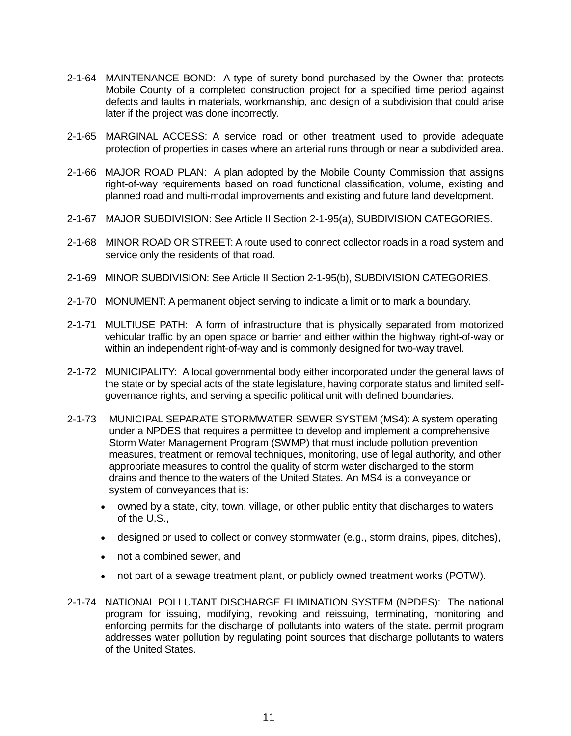- 2-1-64 MAINTENANCE BOND: A type of surety bond purchased by the Owner that protects Mobile County of a completed construction project for a specified time period against defects and faults in materials, workmanship, and design of a subdivision that could arise later if the project was done incorrectly.
- 2-1-65 MARGINAL ACCESS: A service road or other treatment used to provide adequate protection of properties in cases where an arterial runs through or near a subdivided area.
- 2-1-66 MAJOR ROAD PLAN: A plan adopted by the Mobile County Commission that assigns right-of-way requirements based on road functional classification, volume, existing and planned road and multi-modal improvements and existing and future land development.
- 2-1-67 MAJOR SUBDIVISION: See Article II Section 2-1-95(a), SUBDIVISION CATEGORIES.
- 2-1-68 MINOR ROAD OR STREET: A route used to connect collector roads in a road system and service only the residents of that road.
- 2-1-69 MINOR SUBDIVISION: See Article II Section 2-1-95(b), SUBDIVISION CATEGORIES.
- 2-1-70 MONUMENT: A permanent object serving to indicate a limit or to mark a boundary.
- 2-1-71 MULTIUSE PATH: A form of infrastructure that is physically separated from motorized vehicular traffic by an open space or barrier and either within the highway right-of-way or within an independent right-of-way and is commonly designed for two-way travel.
- 2-1-72 MUNICIPALITY: A local governmental body either incorporated under the general laws of the state or by special acts of the state legislature, having corporate status and limited selfgovernance rights, and serving a specific political unit with defined boundaries.
- 2-1-73 MUNICIPAL SEPARATE STORMWATER SEWER SYSTEM (MS4): A system operating under a NPDES that requires a permittee to develop and implement a comprehensive Storm Water Management Program (SWMP) that must include pollution prevention measures, treatment or removal techniques, monitoring, use of legal authority, and other appropriate measures to control the quality of storm water discharged to the storm drains and thence to the waters of the United States. An MS4 is a conveyance or system of conveyances that is:
	- owned by a state, city, town, village, or other public entity that discharges to waters of the U.S.,
	- designed or used to collect or convey stormwater (e.g., storm drains, pipes, ditches),
	- not a combined sewer, and
	- not part of a sewage treatment plant, or publicly owned treatment works (POTW).
- 2-1-74 NATIONAL POLLUTANT DISCHARGE ELIMINATION SYSTEM (NPDES): The national program for issuing, modifying, revoking and reissuing, terminating, monitoring and enforcing permits for the discharge of pollutants into waters of the state*.* permit program addresses water pollution by regulating point sources that discharge pollutants to waters of the United States.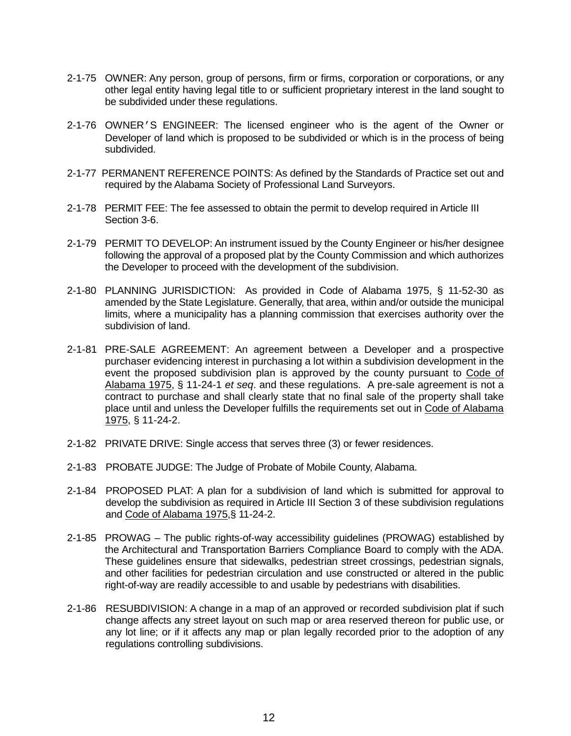- 2-1-75 OWNER: Any person, group of persons, firm or firms, corporation or corporations, or any other legal entity having legal title to or sufficient proprietary interest in the land sought to be subdivided under these regulations.
- 2-1-76 OWNER'S ENGINEER: The licensed engineer who is the agent of the Owner or Developer of land which is proposed to be subdivided or which is in the process of being subdivided.
- 2-1-77 PERMANENT REFERENCE POINTS: As defined by the Standards of Practice set out and required by the Alabama Society of Professional Land Surveyors.
- 2-1-78 PERMIT FEE: The fee assessed to obtain the permit to develop required in Article III Section 3-6.
- 2-1-79 PERMIT TO DEVELOP: An instrument issued by the County Engineer or his/her designee following the approval of a proposed plat by the County Commission and which authorizes the Developer to proceed with the development of the subdivision.
- 2-1-80 PLANNING JURISDICTION: As provided in Code of Alabama 1975, § 11-52-30 as amended by the State Legislature. Generally, that area, within and/or outside the municipal limits, where a municipality has a planning commission that exercises authority over the subdivision of land.
- 2-1-81 PRE-SALE AGREEMENT: An agreement between a Developer and a prospective purchaser evidencing interest in purchasing a lot within a subdivision development in the event the proposed subdivision plan is approved by the county pursuant to Code of Alabama 1975, § 11-24-1 *et seq*. and these regulations. A pre-sale agreement is not a contract to purchase and shall clearly state that no final sale of the property shall take place until and unless the Developer fulfills the requirements set out in Code of Alabama 1975, § 11-24-2.
- 2-1-82 PRIVATE DRIVE: Single access that serves three (3) or fewer residences.
- 2-1-83 PROBATE JUDGE: The Judge of Probate of Mobile County, Alabama.
- 2-1-84 PROPOSED PLAT: A plan for a subdivision of land which is submitted for approval to develop the subdivision as required in Article III Section 3 of these subdivision regulations and Code of Alabama 1975,§ 11-24-2.
- 2-1-85 PROWAG The public rights-of-way accessibility guidelines (PROWAG) established by the Architectural and Transportation Barriers Compliance Board to comply with the ADA. These guidelines ensure that sidewalks, pedestrian street crossings, pedestrian signals, and other facilities for pedestrian circulation and use constructed or altered in the public right-of-way are readily accessible to and usable by pedestrians with disabilities.
- 2-1-86 RESUBDIVISION: A change in a map of an approved or recorded subdivision plat if such change affects any street layout on such map or area reserved thereon for public use, or any lot line; or if it affects any map or plan legally recorded prior to the adoption of any regulations controlling subdivisions.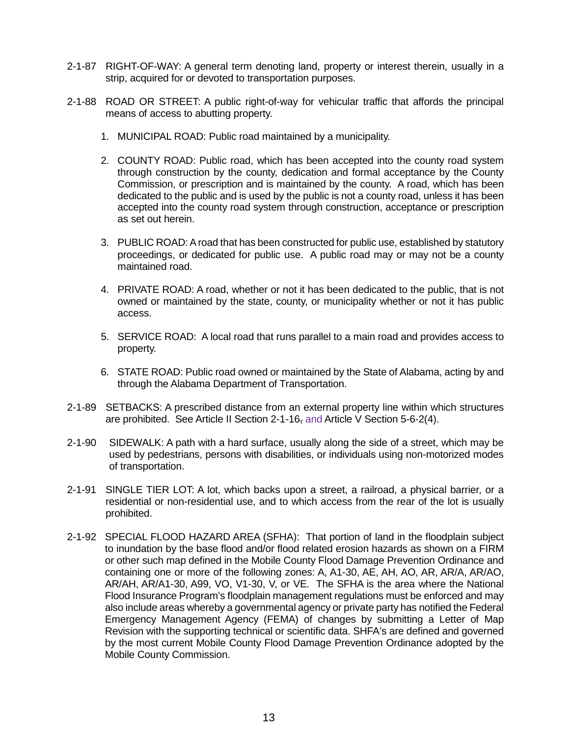- 2-1-87 RIGHT-OF-WAY: A general term denoting land, property or interest therein, usually in a strip, acquired for or devoted to transportation purposes.
- 2-1-88 ROAD OR STREET: A public right-of-way for vehicular traffic that affords the principal means of access to abutting property.
	- 1. MUNICIPAL ROAD: Public road maintained by a municipality.
	- 2. COUNTY ROAD: Public road, which has been accepted into the county road system through construction by the county, dedication and formal acceptance by the County Commission, or prescription and is maintained by the county. A road, which has been dedicated to the public and is used by the public is not a county road, unless it has been accepted into the county road system through construction, acceptance or prescription as set out herein.
	- 3. PUBLIC ROAD: A road that has been constructed for public use, established by statutory proceedings, or dedicated for public use. A public road may or may not be a county maintained road.
	- 4. PRIVATE ROAD: A road, whether or not it has been dedicated to the public, that is not owned or maintained by the state, county, or municipality whether or not it has public access.
	- 5. SERVICE ROAD: A local road that runs parallel to a main road and provides access to property.
	- 6. STATE ROAD: Public road owned or maintained by the State of Alabama, acting by and through the Alabama Department of Transportation.
- 2-1-89 SETBACKS: A prescribed distance from an external property line within which structures are prohibited. See Article II Section 2-1-16, and Article V Section 5-6-2(4).
- 2-1-90 SIDEWALK: A path with a hard surface, usually along the side of a street, which may be used by pedestrians, persons with disabilities, or individuals using non-motorized modes of transportation.
- 2-1-91 SINGLE TIER LOT: A lot, which backs upon a street, a railroad, a physical barrier, or a residential or non-residential use, and to which access from the rear of the lot is usually prohibited.
- 2-1-92 SPECIAL FLOOD HAZARD AREA (SFHA): That portion of land in the floodplain subject to inundation by the base flood and/or flood related erosion hazards as shown on a FIRM or other such map defined in the Mobile County Flood Damage Prevention Ordinance and containing one or more of the following zones: A, A1-30, AE, AH, AO, AR, AR/A, AR/AO, AR/AH, AR/A1-30, A99, VO, V1-30, V, or VE. The SFHA is the area where the National Flood Insurance Program's floodplain management regulations must be enforced and may also include areas whereby a governmental agency or private party has notified the Federal Emergency Management Agency (FEMA) of changes by submitting a Letter of Map Revision with the supporting technical or scientific data. SHFA's are defined and governed by the most current Mobile County Flood Damage Prevention Ordinance adopted by the Mobile County Commission.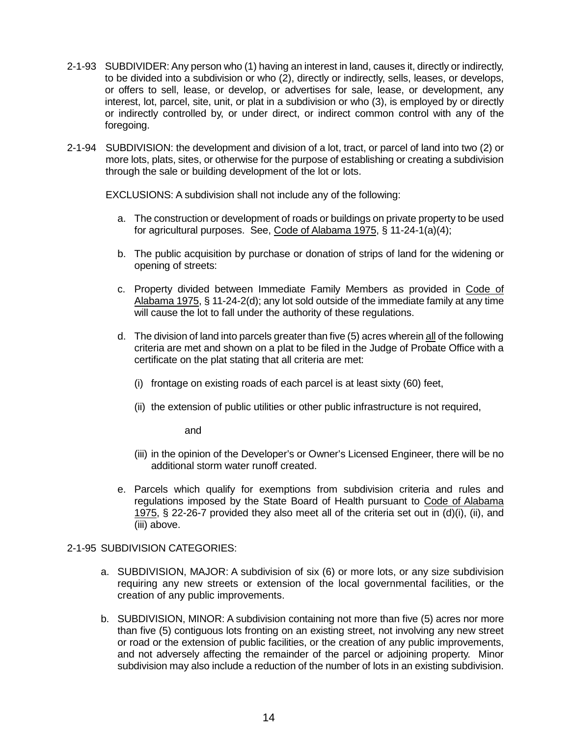- 2-1-93 SUBDIVIDER: Any person who (1) having an interest in land, causes it, directly or indirectly, to be divided into a subdivision or who (2), directly or indirectly, sells, leases, or develops, or offers to sell, lease, or develop, or advertises for sale, lease, or development, any interest, lot, parcel, site, unit, or plat in a subdivision or who (3), is employed by or directly or indirectly controlled by, or under direct, or indirect common control with any of the foregoing.
- 2-1-94 SUBDIVISION: the development and division of a lot, tract, or parcel of land into two (2) or more lots, plats, sites, or otherwise for the purpose of establishing or creating a subdivision through the sale or building development of the lot or lots.

EXCLUSIONS: A subdivision shall not include any of the following:

- a. The construction or development of roads or buildings on private property to be used for agricultural purposes. See, Code of Alabama 1975, § 11-24-1(a)(4);
- b. The public acquisition by purchase or donation of strips of land for the widening or opening of streets:
- c. Property divided between Immediate Family Members as provided in Code of Alabama 1975, § 11-24-2(d); any lot sold outside of the immediate family at any time will cause the lot to fall under the authority of these regulations.
- d. The division of land into parcels greater than five (5) acres wherein all of the following criteria are met and shown on a plat to be filed in the Judge of Probate Office with a certificate on the plat stating that all criteria are met:
	- (i) frontage on existing roads of each parcel is at least sixty (60) feet,
	- (ii) the extension of public utilities or other public infrastructure is not required,

and

- (iii) in the opinion of the Developer's or Owner's Licensed Engineer, there will be no additional storm water runoff created.
- e. Parcels which qualify for exemptions from subdivision criteria and rules and regulations imposed by the State Board of Health pursuant to Code of Alabama 1975, § 22-26-7 provided they also meet all of the criteria set out in (d)(i), (ii), and (iii) above.

#### 2-1-95 SUBDIVISION CATEGORIES:

- a. SUBDIVISION, MAJOR: A subdivision of six (6) or more lots, or any size subdivision requiring any new streets or extension of the local governmental facilities, or the creation of any public improvements.
- b. SUBDIVISION, MINOR: A subdivision containing not more than five (5) acres nor more than five (5) contiguous lots fronting on an existing street, not involving any new street or road or the extension of public facilities, or the creation of any public improvements, and not adversely affecting the remainder of the parcel or adjoining property. Minor subdivision may also include a reduction of the number of lots in an existing subdivision.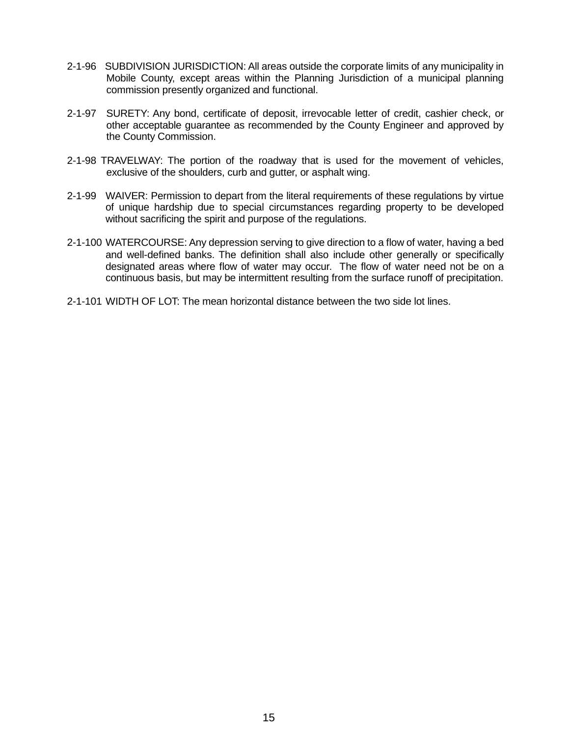- 2-1-96 SUBDIVISION JURISDICTION: All areas outside the corporate limits of any municipality in Mobile County, except areas within the Planning Jurisdiction of a municipal planning commission presently organized and functional.
- 2-1-97 SURETY: Any bond, certificate of deposit, irrevocable letter of credit, cashier check, or other acceptable guarantee as recommended by the County Engineer and approved by the County Commission.
- 2-1-98 TRAVELWAY: The portion of the roadway that is used for the movement of vehicles, exclusive of the shoulders, curb and gutter, or asphalt wing.
- 2-1-99 WAIVER: Permission to depart from the literal requirements of these regulations by virtue of unique hardship due to special circumstances regarding property to be developed without sacrificing the spirit and purpose of the regulations.
- 2-1-100 WATERCOURSE: Any depression serving to give direction to a flow of water, having a bed and well-defined banks. The definition shall also include other generally or specifically designated areas where flow of water may occur. The flow of water need not be on a continuous basis, but may be intermittent resulting from the surface runoff of precipitation.
- 2-1-101 WIDTH OF LOT: The mean horizontal distance between the two side lot lines.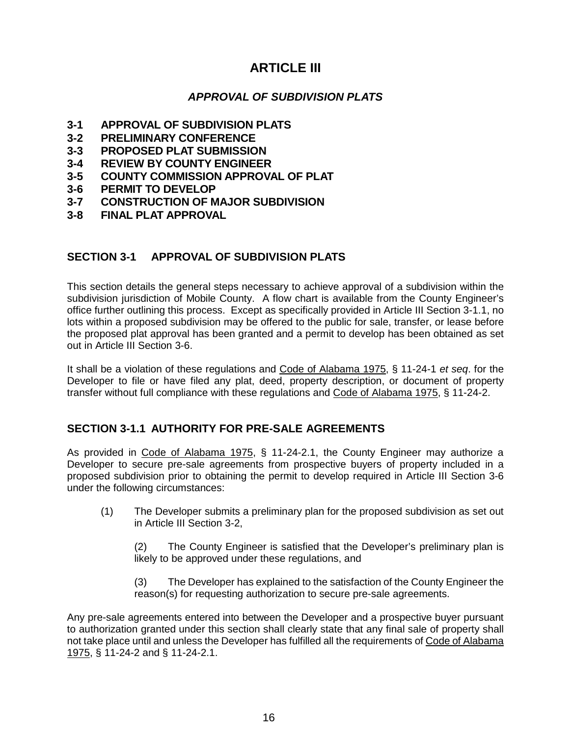# **ARTICLE III**

### *APPROVAL OF SUBDIVISION PLATS*

- **3-1 APPROVAL OF SUBDIVISION PLATS**
- **3-2 PRELIMINARY CONFERENCE**
- **3-3 PROPOSED PLAT SUBMISSION**
- **3-4 REVIEW BY COUNTY ENGINEER**
- **3-5 COUNTY COMMISSION APPROVAL OF PLAT**
- **3-6 PERMIT TO DEVELOP**
- **3-7 CONSTRUCTION OF MAJOR SUBDIVISION**
- **3-8 FINAL PLAT APPROVAL**

### **SECTION 3-1 APPROVAL OF SUBDIVISION PLATS**

This section details the general steps necessary to achieve approval of a subdivision within the subdivision jurisdiction of Mobile County. A flow chart is available from the County Engineer's office further outlining this process. Except as specifically provided in Article III Section 3-1.1, no lots within a proposed subdivision may be offered to the public for sale, transfer, or lease before the proposed plat approval has been granted and a permit to develop has been obtained as set out in Article III Section 3-6.

It shall be a violation of these regulations and Code of Alabama 1975, § 11-24-1 *et seq*. for the Developer to file or have filed any plat, deed, property description, or document of property transfer without full compliance with these regulations and Code of Alabama 1975, § 11-24-2.

### **SECTION 3-1.1 AUTHORITY FOR PRE-SALE AGREEMENTS**

As provided in Code of Alabama 1975, § 11-24-2.1, the County Engineer may authorize a Developer to secure pre-sale agreements from prospective buyers of property included in a proposed subdivision prior to obtaining the permit to develop required in Article III Section 3-6 under the following circumstances:

(1) The Developer submits a preliminary plan for the proposed subdivision as set out in Article III Section 3-2,

(2) The County Engineer is satisfied that the Developer's preliminary plan is likely to be approved under these regulations, and

(3) The Developer has explained to the satisfaction of the County Engineer the reason(s) for requesting authorization to secure pre-sale agreements.

Any pre-sale agreements entered into between the Developer and a prospective buyer pursuant to authorization granted under this section shall clearly state that any final sale of property shall not take place until and unless the Developer has fulfilled all the requirements of Code of Alabama 1975, § 11-24-2 and § 11-24-2.1.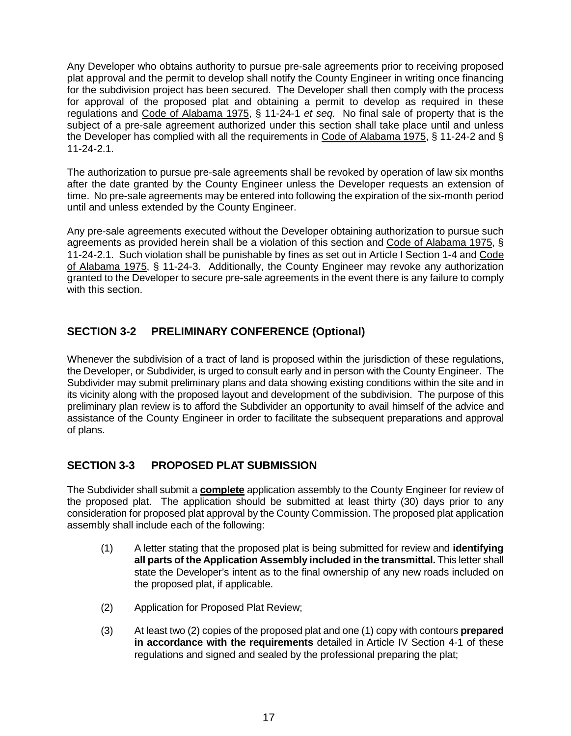Any Developer who obtains authority to pursue pre-sale agreements prior to receiving proposed plat approval and the permit to develop shall notify the County Engineer in writing once financing for the subdivision project has been secured. The Developer shall then comply with the process for approval of the proposed plat and obtaining a permit to develop as required in these regulations and Code of Alabama 1975, § 11-24-1 *et seq.* No final sale of property that is the subject of a pre-sale agreement authorized under this section shall take place until and unless the Developer has complied with all the requirements in Code of Alabama 1975, § 11-24-2 and § 11-24-2.1.

The authorization to pursue pre-sale agreements shall be revoked by operation of law six months after the date granted by the County Engineer unless the Developer requests an extension of time. No pre-sale agreements may be entered into following the expiration of the six-month period until and unless extended by the County Engineer.

Any pre-sale agreements executed without the Developer obtaining authorization to pursue such agreements as provided herein shall be a violation of this section and Code of Alabama 1975, § 11-24-2.1. Such violation shall be punishable by fines as set out in Article I Section 1-4 and Code of Alabama 1975, § 11-24-3. Additionally, the County Engineer may revoke any authorization granted to the Developer to secure pre-sale agreements in the event there is any failure to comply with this section.

### **SECTION 3-2 PRELIMINARY CONFERENCE (Optional)**

Whenever the subdivision of a tract of land is proposed within the jurisdiction of these regulations, the Developer, or Subdivider, is urged to consult early and in person with the County Engineer. The Subdivider may submit preliminary plans and data showing existing conditions within the site and in its vicinity along with the proposed layout and development of the subdivision. The purpose of this preliminary plan review is to afford the Subdivider an opportunity to avail himself of the advice and assistance of the County Engineer in order to facilitate the subsequent preparations and approval of plans.

### **SECTION 3-3 PROPOSED PLAT SUBMISSION**

The Subdivider shall submit a **complete** application assembly to the County Engineer for review of the proposed plat. The application should be submitted at least thirty (30) days prior to any consideration for proposed plat approval by the County Commission. The proposed plat application assembly shall include each of the following:

- (1) A letter stating that the proposed plat is being submitted for review and **identifying all parts of the Application Assembly included in the transmittal.** This letter shall state the Developer's intent as to the final ownership of any new roads included on the proposed plat, if applicable.
- (2) Application for Proposed Plat Review;
- (3) At least two (2) copies of the proposed plat and one (1) copy with contours **prepared in accordance with the requirements** detailed in Article IV Section 4-1 of these regulations and signed and sealed by the professional preparing the plat;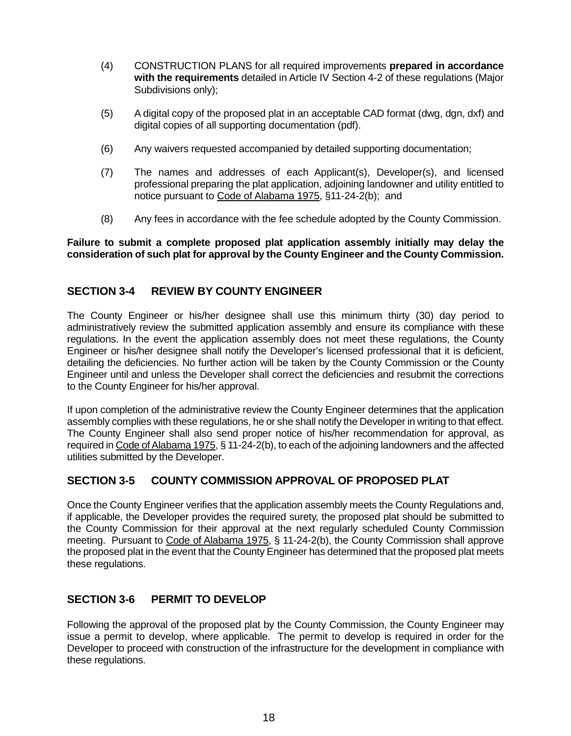- (4) CONSTRUCTION PLANS for all required improvements **prepared in accordance with the requirements** detailed in Article IV Section 4-2 of these regulations (Major Subdivisions only);
- (5) A digital copy of the proposed plat in an acceptable CAD format (dwg, dgn, dxf) and digital copies of all supporting documentation (pdf).
- (6) Any waivers requested accompanied by detailed supporting documentation;
- (7) The names and addresses of each Applicant(s), Developer(s), and licensed professional preparing the plat application, adjoining landowner and utility entitled to notice pursuant to Code of Alabama 1975, §11-24-2(b); and
- (8) Any fees in accordance with the fee schedule adopted by the County Commission.

**Failure to submit a complete proposed plat application assembly initially may delay the consideration of such plat for approval by the County Engineer and the County Commission.**

### **SECTION 3-4 REVIEW BY COUNTY ENGINEER**

The County Engineer or his/her designee shall use this minimum thirty (30) day period to administratively review the submitted application assembly and ensure its compliance with these regulations. In the event the application assembly does not meet these regulations, the County Engineer or his/her designee shall notify the Developer's licensed professional that it is deficient, detailing the deficiencies. No further action will be taken by the County Commission or the County Engineer until and unless the Developer shall correct the deficiencies and resubmit the corrections to the County Engineer for his/her approval.

If upon completion of the administrative review the County Engineer determines that the application assembly complies with these regulations, he or she shall notify the Developer in writing to that effect. The County Engineer shall also send proper notice of his/her recommendation for approval, as required in Code of Alabama 1975, § 11-24-2(b), to each of the adjoining landowners and the affected utilities submitted by the Developer.

### **SECTION 3-5 COUNTY COMMISSION APPROVAL OF PROPOSED PLAT**

Once the County Engineer verifies that the application assembly meets the County Regulations and, if applicable, the Developer provides the required surety, the proposed plat should be submitted to the County Commission for their approval at the next regularly scheduled County Commission meeting. Pursuant to Code of Alabama 1975, § 11-24-2(b), the County Commission shall approve the proposed plat in the event that the County Engineer has determined that the proposed plat meets these regulations.

### **SECTION 3-6 PERMIT TO DEVELOP**

Following the approval of the proposed plat by the County Commission, the County Engineer may issue a permit to develop, where applicable. The permit to develop is required in order for the Developer to proceed with construction of the infrastructure for the development in compliance with these regulations.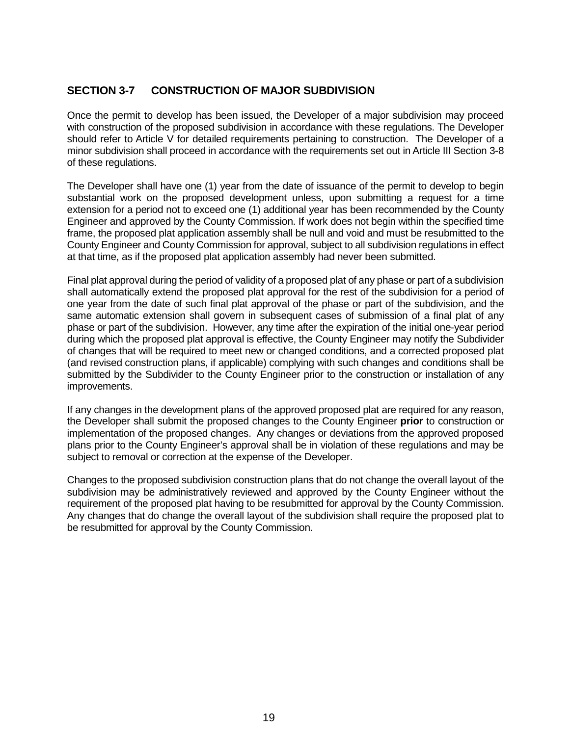### **SECTION 3-7 CONSTRUCTION OF MAJOR SUBDIVISION**

Once the permit to develop has been issued, the Developer of a major subdivision may proceed with construction of the proposed subdivision in accordance with these regulations. The Developer should refer to Article V for detailed requirements pertaining to construction. The Developer of a minor subdivision shall proceed in accordance with the requirements set out in Article III Section 3-8 of these regulations.

The Developer shall have one (1) year from the date of issuance of the permit to develop to begin substantial work on the proposed development unless, upon submitting a request for a time extension for a period not to exceed one (1) additional year has been recommended by the County Engineer and approved by the County Commission. If work does not begin within the specified time frame, the proposed plat application assembly shall be null and void and must be resubmitted to the County Engineer and County Commission for approval, subject to all subdivision regulations in effect at that time, as if the proposed plat application assembly had never been submitted.

Final plat approval during the period of validity of a proposed plat of any phase or part of a subdivision shall automatically extend the proposed plat approval for the rest of the subdivision for a period of one year from the date of such final plat approval of the phase or part of the subdivision, and the same automatic extension shall govern in subsequent cases of submission of a final plat of any phase or part of the subdivision. However, any time after the expiration of the initial one-year period during which the proposed plat approval is effective, the County Engineer may notify the Subdivider of changes that will be required to meet new or changed conditions, and a corrected proposed plat (and revised construction plans, if applicable) complying with such changes and conditions shall be submitted by the Subdivider to the County Engineer prior to the construction or installation of any improvements.

If any changes in the development plans of the approved proposed plat are required for any reason, the Developer shall submit the proposed changes to the County Engineer **prior** to construction or implementation of the proposed changes. Any changes or deviations from the approved proposed plans prior to the County Engineer's approval shall be in violation of these regulations and may be subject to removal or correction at the expense of the Developer.

Changes to the proposed subdivision construction plans that do not change the overall layout of the subdivision may be administratively reviewed and approved by the County Engineer without the requirement of the proposed plat having to be resubmitted for approval by the County Commission. Any changes that do change the overall layout of the subdivision shall require the proposed plat to be resubmitted for approval by the County Commission.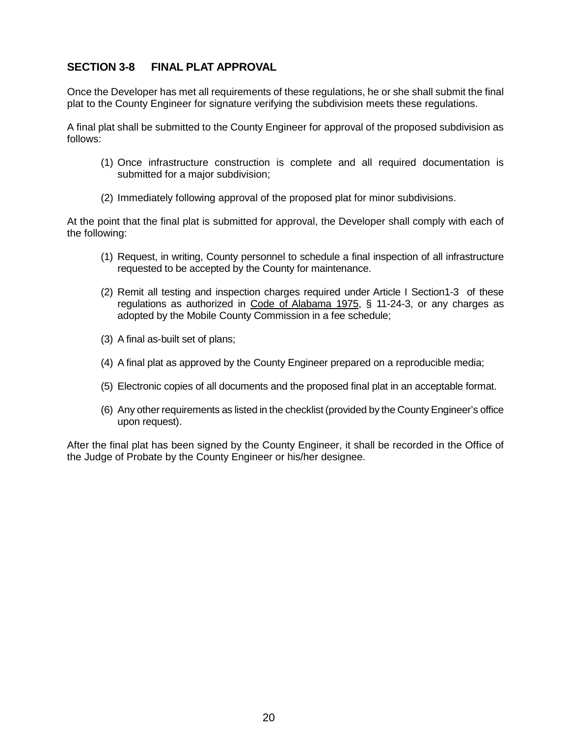### **SECTION 3-8 FINAL PLAT APPROVAL**

Once the Developer has met all requirements of these regulations, he or she shall submit the final plat to the County Engineer for signature verifying the subdivision meets these regulations.

A final plat shall be submitted to the County Engineer for approval of the proposed subdivision as follows:

- (1) Once infrastructure construction is complete and all required documentation is submitted for a major subdivision;
- (2) Immediately following approval of the proposed plat for minor subdivisions.

At the point that the final plat is submitted for approval, the Developer shall comply with each of the following:

- (1) Request, in writing, County personnel to schedule a final inspection of all infrastructure requested to be accepted by the County for maintenance.
- (2) Remit all testing and inspection charges required under Article I Section1-3 of these regulations as authorized in Code of Alabama 1975, § 11-24-3, or any charges as adopted by the Mobile County Commission in a fee schedule;
- (3) A final as-built set of plans;
- (4) A final plat as approved by the County Engineer prepared on a reproducible media;
- (5) Electronic copies of all documents and the proposed final plat in an acceptable format.
- (6) Any other requirements as listed in the checklist (provided by the County Engineer's office upon request).

After the final plat has been signed by the County Engineer, it shall be recorded in the Office of the Judge of Probate by the County Engineer or his/her designee.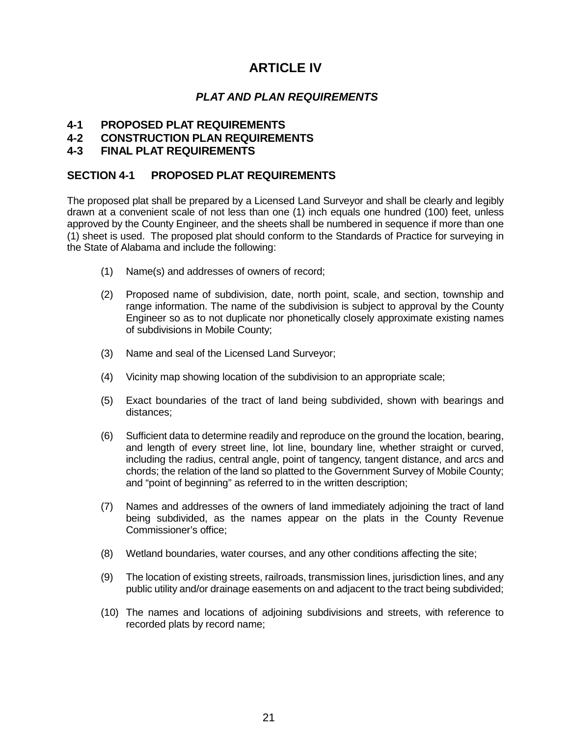# **ARTICLE IV**

### *PLAT AND PLAN REQUIREMENTS*

### **4-1 PROPOSED PLAT REQUIREMENTS**

### **4-2 CONSTRUCTION PLAN REQUIREMENTS**

### **4-3 FINAL PLAT REQUIREMENTS**

### **SECTION 4-1 PROPOSED PLAT REQUIREMENTS**

The proposed plat shall be prepared by a Licensed Land Surveyor and shall be clearly and legibly drawn at a convenient scale of not less than one (1) inch equals one hundred (100) feet, unless approved by the County Engineer, and the sheets shall be numbered in sequence if more than one (1) sheet is used. The proposed plat should conform to the Standards of Practice for surveying in the State of Alabama and include the following:

- (1) Name(s) and addresses of owners of record;
- (2) Proposed name of subdivision, date, north point, scale, and section, township and range information. The name of the subdivision is subject to approval by the County Engineer so as to not duplicate nor phonetically closely approximate existing names of subdivisions in Mobile County;
- (3) Name and seal of the Licensed Land Surveyor;
- (4) Vicinity map showing location of the subdivision to an appropriate scale;
- (5) Exact boundaries of the tract of land being subdivided, shown with bearings and distances;
- (6) Sufficient data to determine readily and reproduce on the ground the location, bearing, and length of every street line, lot line, boundary line, whether straight or curved, including the radius, central angle, point of tangency, tangent distance, and arcs and chords; the relation of the land so platted to the Government Survey of Mobile County; and "point of beginning" as referred to in the written description;
- (7) Names and addresses of the owners of land immediately adjoining the tract of land being subdivided, as the names appear on the plats in the County Revenue Commissioner's office;
- (8) Wetland boundaries, water courses, and any other conditions affecting the site;
- (9) The location of existing streets, railroads, transmission lines, jurisdiction lines, and any public utility and/or drainage easements on and adjacent to the tract being subdivided;
- (10) The names and locations of adjoining subdivisions and streets, with reference to recorded plats by record name;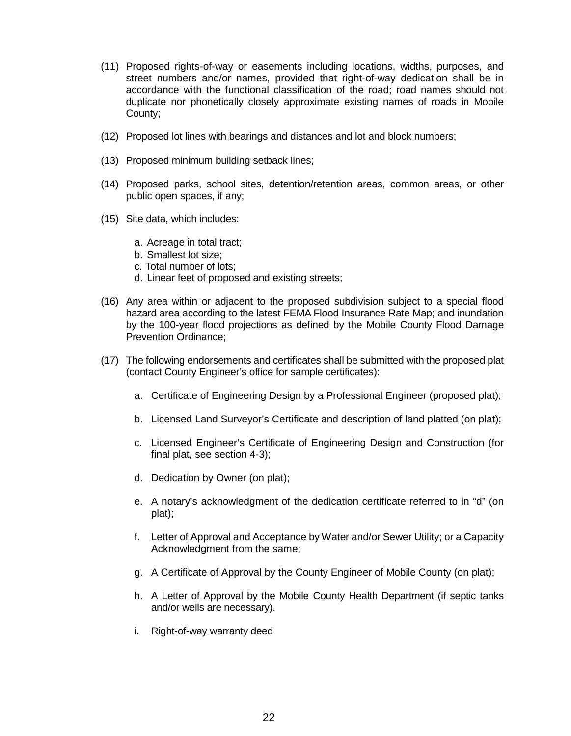- (11) Proposed rights-of-way or easements including locations, widths, purposes, and street numbers and/or names, provided that right-of-way dedication shall be in accordance with the functional classification of the road; road names should not duplicate nor phonetically closely approximate existing names of roads in Mobile County;
- (12) Proposed lot lines with bearings and distances and lot and block numbers;
- (13) Proposed minimum building setback lines;
- (14) Proposed parks, school sites, detention/retention areas, common areas, or other public open spaces, if any;
- (15) Site data, which includes:
	- a. Acreage in total tract;
	- b. Smallest lot size;
	- c. Total number of lots;
	- d. Linear feet of proposed and existing streets;
- (16) Any area within or adjacent to the proposed subdivision subject to a special flood hazard area according to the latest FEMA Flood Insurance Rate Map; and inundation by the 100-year flood projections as defined by the Mobile County Flood Damage Prevention Ordinance;
- (17) The following endorsements and certificates shall be submitted with the proposed plat (contact County Engineer's office for sample certificates):
	- a. Certificate of Engineering Design by a Professional Engineer (proposed plat);
	- b. Licensed Land Surveyor's Certificate and description of land platted (on plat);
	- c. Licensed Engineer's Certificate of Engineering Design and Construction (for final plat, see section 4-3);
	- d. Dedication by Owner (on plat);
	- e. A notary's acknowledgment of the dedication certificate referred to in "d" (on plat);
	- f. Letter of Approval and Acceptance by Water and/or Sewer Utility; or a Capacity Acknowledgment from the same;
	- g. A Certificate of Approval by the County Engineer of Mobile County (on plat);
	- h. A Letter of Approval by the Mobile County Health Department (if septic tanks and/or wells are necessary).
	- i. Right-of-way warranty deed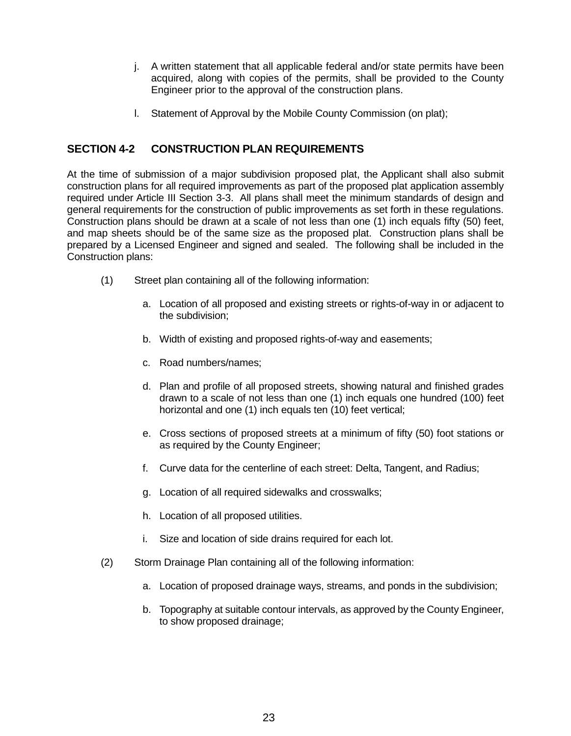- j. A written statement that all applicable federal and/or state permits have been acquired, along with copies of the permits, shall be provided to the County Engineer prior to the approval of the construction plans.
- l. Statement of Approval by the Mobile County Commission (on plat);

### **SECTION 4-2 CONSTRUCTION PLAN REQUIREMENTS**

At the time of submission of a major subdivision proposed plat, the Applicant shall also submit construction plans for all required improvements as part of the proposed plat application assembly required under Article III Section 3-3. All plans shall meet the minimum standards of design and general requirements for the construction of public improvements as set forth in these regulations. Construction plans should be drawn at a scale of not less than one (1) inch equals fifty (50) feet, and map sheets should be of the same size as the proposed plat. Construction plans shall be prepared by a Licensed Engineer and signed and sealed. The following shall be included in the Construction plans:

- (1) Street plan containing all of the following information:
	- a. Location of all proposed and existing streets or rights-of-way in or adjacent to the subdivision;
	- b. Width of existing and proposed rights-of-way and easements;
	- c. Road numbers/names;
	- d. Plan and profile of all proposed streets, showing natural and finished grades drawn to a scale of not less than one (1) inch equals one hundred (100) feet horizontal and one (1) inch equals ten (10) feet vertical:
	- e. Cross sections of proposed streets at a minimum of fifty (50) foot stations or as required by the County Engineer;
	- f. Curve data for the centerline of each street: Delta, Tangent, and Radius;
	- g. Location of all required sidewalks and crosswalks;
	- h. Location of all proposed utilities.
	- i. Size and location of side drains required for each lot.
- (2) Storm Drainage Plan containing all of the following information:
	- a. Location of proposed drainage ways, streams, and ponds in the subdivision;
	- b. Topography at suitable contour intervals, as approved by the County Engineer, to show proposed drainage;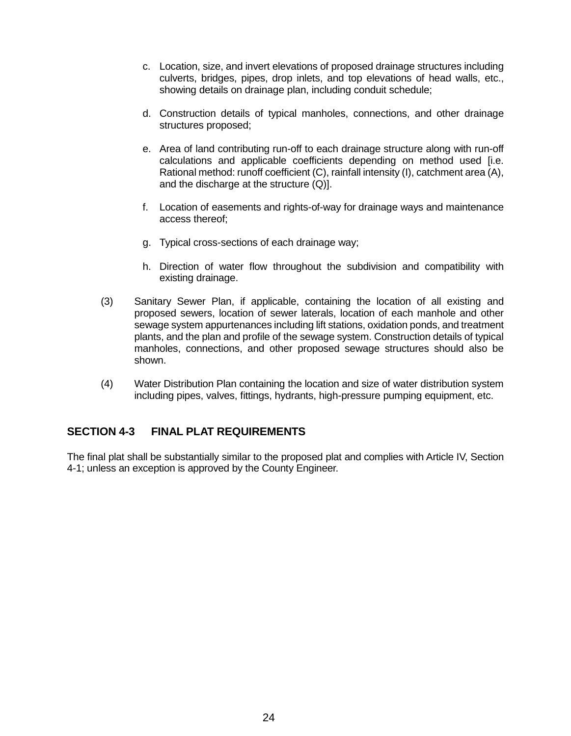- c. Location, size, and invert elevations of proposed drainage structures including culverts, bridges, pipes, drop inlets, and top elevations of head walls, etc., showing details on drainage plan, including conduit schedule;
- d. Construction details of typical manholes, connections, and other drainage structures proposed;
- e. Area of land contributing run-off to each drainage structure along with run-off calculations and applicable coefficients depending on method used [i.e. Rational method: runoff coefficient (C), rainfall intensity (I), catchment area (A), and the discharge at the structure (Q)].
- f. Location of easements and rights-of-way for drainage ways and maintenance access thereof;
- g. Typical cross-sections of each drainage way;
- h. Direction of water flow throughout the subdivision and compatibility with existing drainage.
- (3) Sanitary Sewer Plan, if applicable, containing the location of all existing and proposed sewers, location of sewer laterals, location of each manhole and other sewage system appurtenances including lift stations, oxidation ponds, and treatment plants, and the plan and profile of the sewage system. Construction details of typical manholes, connections, and other proposed sewage structures should also be shown.
- (4) Water Distribution Plan containing the location and size of water distribution system including pipes, valves, fittings, hydrants, high-pressure pumping equipment, etc.

### **SECTION 4-3 FINAL PLAT REQUIREMENTS**

The final plat shall be substantially similar to the proposed plat and complies with Article IV, Section 4-1; unless an exception is approved by the County Engineer.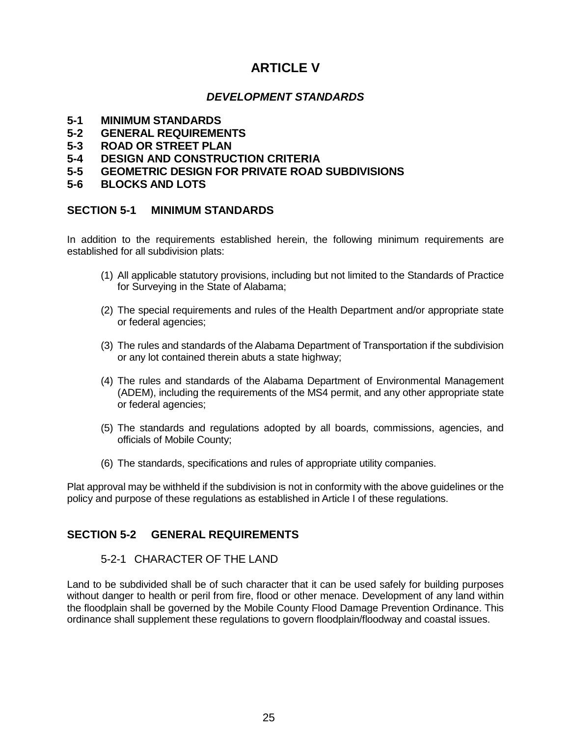# **ARTICLE V**

### *DEVELOPMENT STANDARDS*

- **5-1 MINIMUM STANDARDS**
- **5-2 GENERAL REQUIREMENTS**
- **5-3 ROAD OR STREET PLAN**
- **5-4 DESIGN AND CONSTRUCTION CRITERIA**
- **5-5 GEOMETRIC DESIGN FOR PRIVATE ROAD SUBDIVISIONS**
- **5-6 BLOCKS AND LOTS**

### **SECTION 5-1 MINIMUM STANDARDS**

In addition to the requirements established herein, the following minimum requirements are established for all subdivision plats:

- (1) All applicable statutory provisions, including but not limited to the Standards of Practice for Surveying in the State of Alabama;
- (2) The special requirements and rules of the Health Department and/or appropriate state or federal agencies;
- (3) The rules and standards of the Alabama Department of Transportation if the subdivision or any lot contained therein abuts a state highway;
- (4) The rules and standards of the Alabama Department of Environmental Management (ADEM), including the requirements of the MS4 permit, and any other appropriate state or federal agencies;
- (5) The standards and regulations adopted by all boards, commissions, agencies, and officials of Mobile County;
- (6) The standards, specifications and rules of appropriate utility companies.

Plat approval may be withheld if the subdivision is not in conformity with the above guidelines or the policy and purpose of these regulations as established in Article I of these regulations.

### **SECTION 5-2 GENERAL REQUIREMENTS**

### 5-2-1 CHARACTER OF THE LAND

Land to be subdivided shall be of such character that it can be used safely for building purposes without danger to health or peril from fire, flood or other menace. Development of any land within the floodplain shall be governed by the Mobile County Flood Damage Prevention Ordinance. This ordinance shall supplement these regulations to govern floodplain/floodway and coastal issues.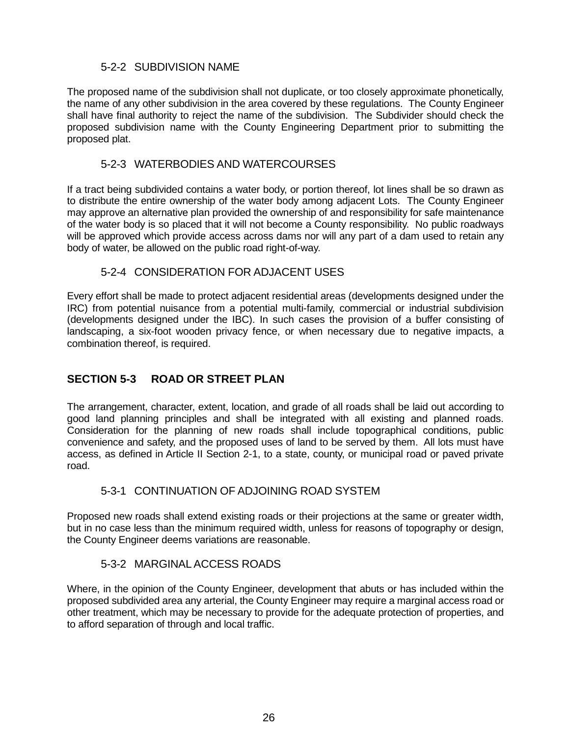### 5-2-2 SUBDIVISION NAME

The proposed name of the subdivision shall not duplicate, or too closely approximate phonetically, the name of any other subdivision in the area covered by these regulations. The County Engineer shall have final authority to reject the name of the subdivision. The Subdivider should check the proposed subdivision name with the County Engineering Department prior to submitting the proposed plat.

### 5-2-3 WATERBODIES AND WATERCOURSES

If a tract being subdivided contains a water body, or portion thereof, lot lines shall be so drawn as to distribute the entire ownership of the water body among adjacent Lots. The County Engineer may approve an alternative plan provided the ownership of and responsibility for safe maintenance of the water body is so placed that it will not become a County responsibility. No public roadways will be approved which provide access across dams nor will any part of a dam used to retain any body of water, be allowed on the public road right-of-way.

### 5-2-4 CONSIDERATION FOR ADJACENT USES

Every effort shall be made to protect adjacent residential areas (developments designed under the IRC) from potential nuisance from a potential multi-family, commercial or industrial subdivision (developments designed under the IBC). In such cases the provision of a buffer consisting of landscaping, a six-foot wooden privacy fence, or when necessary due to negative impacts, a combination thereof, is required.

### **SECTION 5-3 ROAD OR STREET PLAN**

The arrangement, character, extent, location, and grade of all roads shall be laid out according to good land planning principles and shall be integrated with all existing and planned roads. Consideration for the planning of new roads shall include topographical conditions, public convenience and safety, and the proposed uses of land to be served by them. All lots must have access, as defined in Article II Section 2-1, to a state, county, or municipal road or paved private road.

### 5-3-1 CONTINUATION OF ADJOINING ROAD SYSTEM

Proposed new roads shall extend existing roads or their projections at the same or greater width, but in no case less than the minimum required width, unless for reasons of topography or design, the County Engineer deems variations are reasonable.

### 5-3-2 MARGINAL ACCESS ROADS

Where, in the opinion of the County Engineer, development that abuts or has included within the proposed subdivided area any arterial, the County Engineer may require a marginal access road or other treatment, which may be necessary to provide for the adequate protection of properties, and to afford separation of through and local traffic.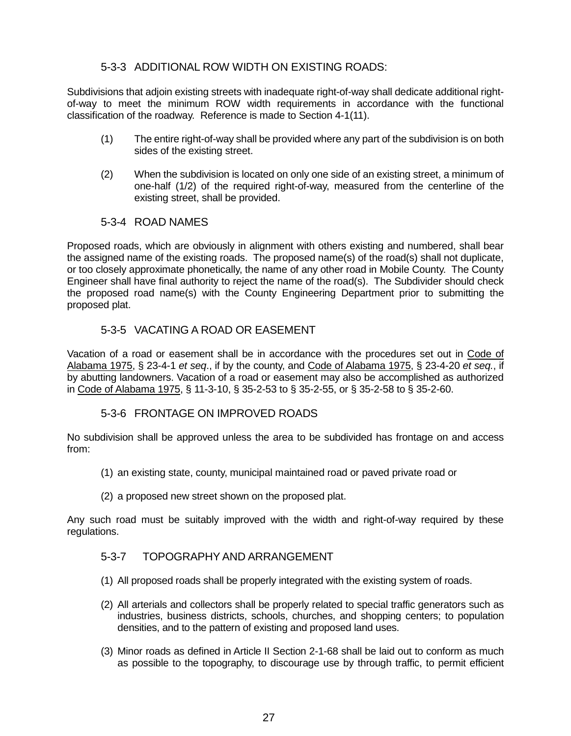### 5-3-3 ADDITIONAL ROW WIDTH ON EXISTING ROADS:

Subdivisions that adjoin existing streets with inadequate right-of-way shall dedicate additional rightof-way to meet the minimum ROW width requirements in accordance with the functional classification of the roadway. Reference is made to Section 4-1(11).

- (1) The entire right-of-way shall be provided where any part of the subdivision is on both sides of the existing street.
- (2) When the subdivision is located on only one side of an existing street, a minimum of one-half (1/2) of the required right-of-way, measured from the centerline of the existing street, shall be provided.

### 5-3-4 ROAD NAMES

Proposed roads, which are obviously in alignment with others existing and numbered, shall bear the assigned name of the existing roads. The proposed name(s) of the road(s) shall not duplicate, or too closely approximate phonetically, the name of any other road in Mobile County. The County Engineer shall have final authority to reject the name of the road(s). The Subdivider should check the proposed road name(s) with the County Engineering Department prior to submitting the proposed plat.

### 5-3-5 VACATING A ROAD OR EASEMENT

Vacation of a road or easement shall be in accordance with the procedures set out in Code of Alabama 1975, § 23-4-1 *et seq*., if by the county, and Code of Alabama 1975, § 23-4-20 *et seq.*, if by abutting landowners. Vacation of a road or easement may also be accomplished as authorized in Code of Alabama 1975, § 11-3-10, § 35-2-53 to § 35-2-55, or § 35-2-58 to § 35-2-60.

### 5-3-6 FRONTAGE ON IMPROVED ROADS

No subdivision shall be approved unless the area to be subdivided has frontage on and access from:

- (1) an existing state, county, municipal maintained road or paved private road or
- (2) a proposed new street shown on the proposed plat.

Any such road must be suitably improved with the width and right-of-way required by these regulations.

#### 5-3-7 TOPOGRAPHY AND ARRANGEMENT

- (1) All proposed roads shall be properly integrated with the existing system of roads.
- (2) All arterials and collectors shall be properly related to special traffic generators such as industries, business districts, schools, churches, and shopping centers; to population densities, and to the pattern of existing and proposed land uses.
- (3) Minor roads as defined in Article II Section 2-1-68 shall be laid out to conform as much as possible to the topography, to discourage use by through traffic, to permit efficient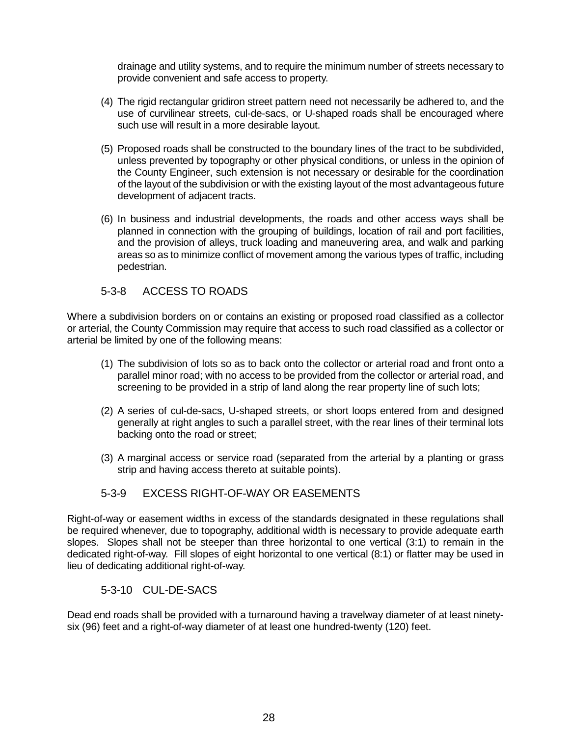drainage and utility systems, and to require the minimum number of streets necessary to provide convenient and safe access to property.

- (4) The rigid rectangular gridiron street pattern need not necessarily be adhered to, and the use of curvilinear streets, cul-de-sacs, or U-shaped roads shall be encouraged where such use will result in a more desirable layout.
- (5) Proposed roads shall be constructed to the boundary lines of the tract to be subdivided, unless prevented by topography or other physical conditions, or unless in the opinion of the County Engineer, such extension is not necessary or desirable for the coordination of the layout of the subdivision or with the existing layout of the most advantageous future development of adjacent tracts.
- (6) In business and industrial developments, the roads and other access ways shall be planned in connection with the grouping of buildings, location of rail and port facilities, and the provision of alleys, truck loading and maneuvering area, and walk and parking areas so as to minimize conflict of movement among the various types of traffic, including pedestrian.

### 5-3-8 ACCESS TO ROADS

Where a subdivision borders on or contains an existing or proposed road classified as a collector or arterial, the County Commission may require that access to such road classified as a collector or arterial be limited by one of the following means:

- (1) The subdivision of lots so as to back onto the collector or arterial road and front onto a parallel minor road; with no access to be provided from the collector or arterial road, and screening to be provided in a strip of land along the rear property line of such lots;
- (2) A series of cul-de-sacs, U-shaped streets, or short loops entered from and designed generally at right angles to such a parallel street, with the rear lines of their terminal lots backing onto the road or street;
- (3) A marginal access or service road (separated from the arterial by a planting or grass strip and having access thereto at suitable points).

#### 5-3-9 EXCESS RIGHT-OF-WAY OR EASEMENTS

Right-of-way or easement widths in excess of the standards designated in these regulations shall be required whenever, due to topography, additional width is necessary to provide adequate earth slopes. Slopes shall not be steeper than three horizontal to one vertical (3:1) to remain in the dedicated right-of-way. Fill slopes of eight horizontal to one vertical (8:1) or flatter may be used in lieu of dedicating additional right-of-way.

#### 5-3-10 CUL-DE-SACS

Dead end roads shall be provided with a turnaround having a travelway diameter of at least ninetysix (96) feet and a right-of-way diameter of at least one hundred-twenty (120) feet.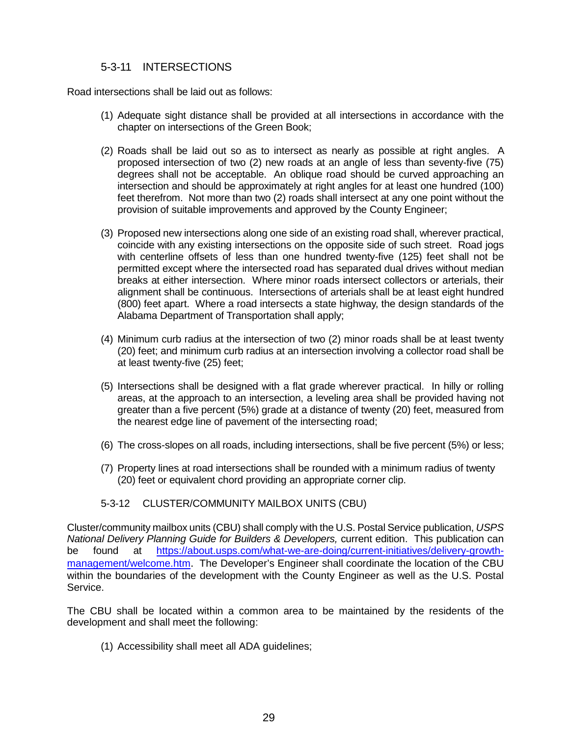### 5-3-11 INTERSECTIONS

Road intersections shall be laid out as follows:

- (1) Adequate sight distance shall be provided at all intersections in accordance with the chapter on intersections of the Green Book;
- (2) Roads shall be laid out so as to intersect as nearly as possible at right angles. A proposed intersection of two (2) new roads at an angle of less than seventy-five (75) degrees shall not be acceptable. An oblique road should be curved approaching an intersection and should be approximately at right angles for at least one hundred (100) feet therefrom. Not more than two (2) roads shall intersect at any one point without the provision of suitable improvements and approved by the County Engineer;
- (3) Proposed new intersections along one side of an existing road shall, wherever practical, coincide with any existing intersections on the opposite side of such street. Road jogs with centerline offsets of less than one hundred twenty-five (125) feet shall not be permitted except where the intersected road has separated dual drives without median breaks at either intersection. Where minor roads intersect collectors or arterials, their alignment shall be continuous. Intersections of arterials shall be at least eight hundred (800) feet apart. Where a road intersects a state highway, the design standards of the Alabama Department of Transportation shall apply;
- (4) Minimum curb radius at the intersection of two (2) minor roads shall be at least twenty (20) feet; and minimum curb radius at an intersection involving a collector road shall be at least twenty-five (25) feet;
- (5) Intersections shall be designed with a flat grade wherever practical. In hilly or rolling areas, at the approach to an intersection, a leveling area shall be provided having not greater than a five percent (5%) grade at a distance of twenty (20) feet, measured from the nearest edge line of pavement of the intersecting road;
- (6) The cross-slopes on all roads, including intersections, shall be five percent (5%) or less;
- (7) Property lines at road intersections shall be rounded with a minimum radius of twenty (20) feet or equivalent chord providing an appropriate corner clip.

#### 5-3-12 CLUSTER/COMMUNITY MAILBOX UNITS (CBU)

Cluster/community mailbox units (CBU) shall comply with the U.S. Postal Service publication, *USPS National Delivery Planning Guide for Builders & Developers,* current edition. This publication can be found at [https://about.usps.com/what-we-are-doing/current-initiatives/delivery-growth](https://about.usps.com/what-we-are-doing/current-initiatives/delivery-growth-management/welcome.htm)[management/welcome.htm](https://about.usps.com/what-we-are-doing/current-initiatives/delivery-growth-management/welcome.htm). The Developer's Engineer shall coordinate the location of the CBU within the boundaries of the development with the County Engineer as well as the U.S. Postal Service.

The CBU shall be located within a common area to be maintained by the residents of the development and shall meet the following:

(1) Accessibility shall meet all ADA guidelines;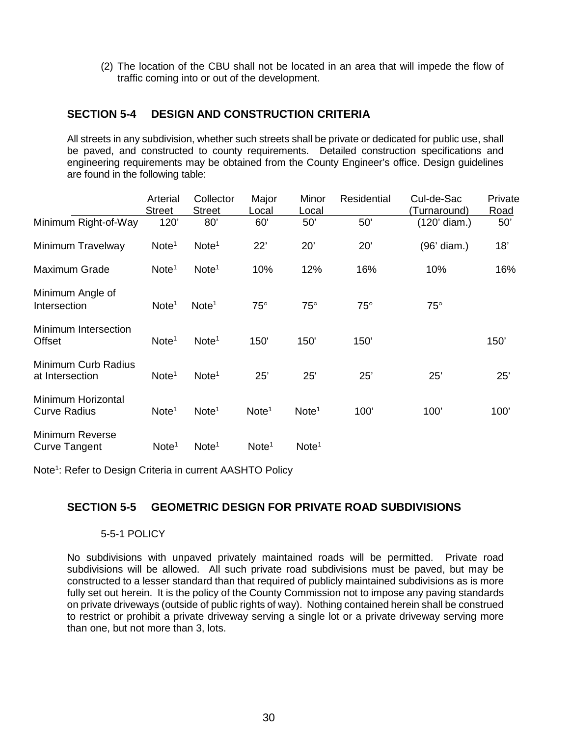(2) The location of the CBU shall not be located in an area that will impede the flow of traffic coming into or out of the development.

### **SECTION 5-4 DESIGN AND CONSTRUCTION CRITERIA**

All streets in any subdivision, whether such streets shall be private or dedicated for public use, shall be paved, and constructed to county requirements. Detailed construction specifications and engineering requirements may be obtained from the County Engineer's office. Design guidelines are found in the following table:

|                                           | Arterial<br><b>Street</b> | Collector<br><b>Street</b> | Major<br>Local    | Minor<br>Local    | <b>Residential</b> | Cul-de-Sac<br>(Turnaround) | Private<br><u>Road</u> |
|-------------------------------------------|---------------------------|----------------------------|-------------------|-------------------|--------------------|----------------------------|------------------------|
| Minimum Right-of-Way                      | 120'                      | 80'                        | 60'               | 50'               | 50'                | (120' diam.)               | 50'                    |
| Minimum Travelway                         | Note <sup>1</sup>         | Note <sup>1</sup>          | 22'               | 20'               | 20'                | (96' diam.)                | 18'                    |
| <b>Maximum Grade</b>                      | Note <sup>1</sup>         | Note <sup>1</sup>          | 10%               | 12%               | 16%                | 10%                        | 16%                    |
| Minimum Angle of<br>Intersection          | Note <sup>1</sup>         | Note <sup>1</sup>          | $75^\circ$        | $75^\circ$        | $75^\circ$         | $75^\circ$                 |                        |
| Minimum Intersection<br><b>Offset</b>     | Note <sup>1</sup>         | Note <sup>1</sup>          | 150'              | 150'              | 150'               |                            | 150'                   |
| Minimum Curb Radius<br>at Intersection    | Note <sup>1</sup>         | Note <sup>1</sup>          | 25'               | 25'               | 25'                | 25'                        | 25'                    |
| Minimum Horizontal<br><b>Curve Radius</b> | Note <sup>1</sup>         | Note <sup>1</sup>          | Note <sup>1</sup> | Note <sup>1</sup> | 100'               | 100'                       | 100'                   |
| Minimum Reverse<br><b>Curve Tangent</b>   | Note <sup>1</sup>         | Note <sup>1</sup>          | Note <sup>1</sup> | Note <sup>1</sup> |                    |                            |                        |

Note<sup>1</sup>: Refer to Design Criteria in current AASHTO Policy

### **SECTION 5-5 GEOMETRIC DESIGN FOR PRIVATE ROAD SUBDIVISIONS**

#### 5-5-1 POLICY

No subdivisions with unpaved privately maintained roads will be permitted. Private road subdivisions will be allowed. All such private road subdivisions must be paved, but may be constructed to a lesser standard than that required of publicly maintained subdivisions as is more fully set out herein. It is the policy of the County Commission not to impose any paving standards on private driveways (outside of public rights of way). Nothing contained herein shall be construed to restrict or prohibit a private driveway serving a single lot or a private driveway serving more than one, but not more than 3, lots.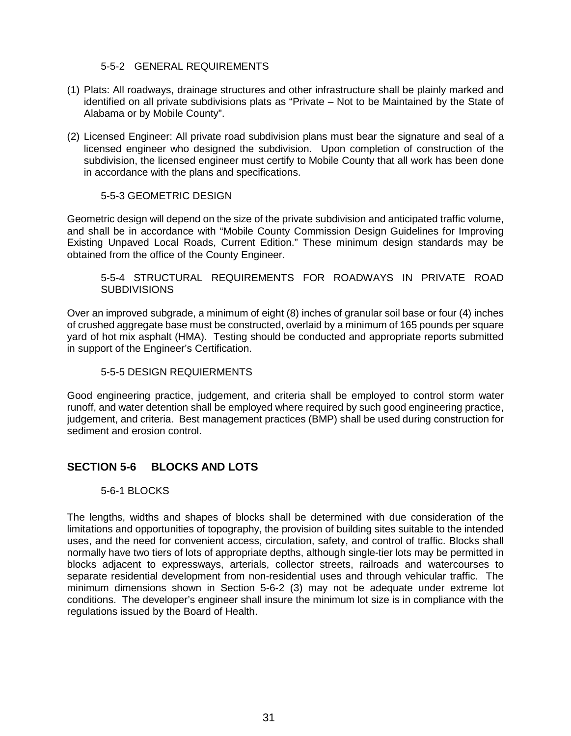#### 5-5-2 GENERAL REQUIREMENTS

- (1) Plats: All roadways, drainage structures and other infrastructure shall be plainly marked and identified on all private subdivisions plats as "Private – Not to be Maintained by the State of Alabama or by Mobile County".
- (2) Licensed Engineer: All private road subdivision plans must bear the signature and seal of a licensed engineer who designed the subdivision. Upon completion of construction of the subdivision, the licensed engineer must certify to Mobile County that all work has been done in accordance with the plans and specifications.

#### 5-5-3 GEOMETRIC DESIGN

Geometric design will depend on the size of the private subdivision and anticipated traffic volume, and shall be in accordance with "Mobile County Commission Design Guidelines for Improving Existing Unpaved Local Roads, Current Edition." These minimum design standards may be obtained from the office of the County Engineer.

#### 5-5-4 STRUCTURAL REQUIREMENTS FOR ROADWAYS IN PRIVATE ROAD SUBDIVISIONS

Over an improved subgrade, a minimum of eight (8) inches of granular soil base or four (4) inches of crushed aggregate base must be constructed, overlaid by a minimum of 165 pounds per square yard of hot mix asphalt (HMA). Testing should be conducted and appropriate reports submitted in support of the Engineer's Certification.

#### 5-5-5 DESIGN REQUIERMENTS

Good engineering practice, judgement, and criteria shall be employed to control storm water runoff, and water detention shall be employed where required by such good engineering practice, judgement, and criteria. Best management practices (BMP) shall be used during construction for sediment and erosion control.

### **SECTION 5-6 BLOCKS AND LOTS**

#### 5-6-1 BLOCKS

The lengths, widths and shapes of blocks shall be determined with due consideration of the limitations and opportunities of topography, the provision of building sites suitable to the intended uses, and the need for convenient access, circulation, safety, and control of traffic. Blocks shall normally have two tiers of lots of appropriate depths, although single-tier lots may be permitted in blocks adjacent to expressways, arterials, collector streets, railroads and watercourses to separate residential development from non-residential uses and through vehicular traffic. The minimum dimensions shown in Section 5-6-2 (3) may not be adequate under extreme lot conditions. The developer's engineer shall insure the minimum lot size is in compliance with the regulations issued by the Board of Health.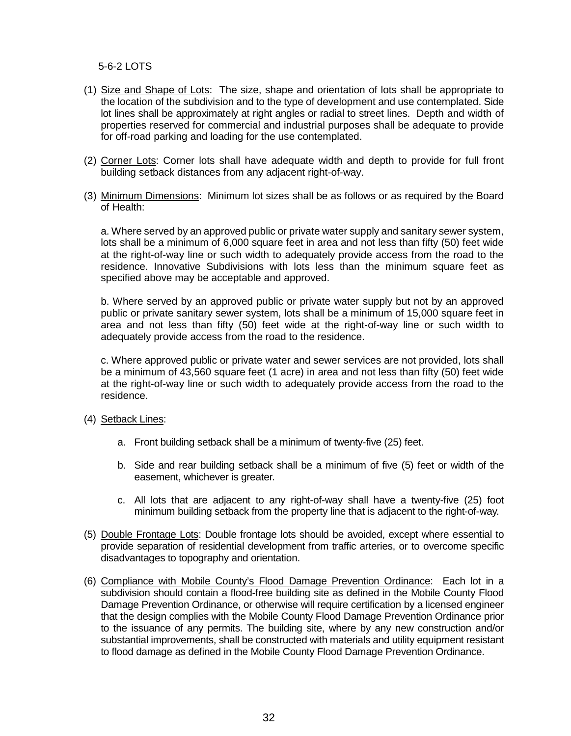5-6-2 LOTS

- (1) Size and Shape of Lots: The size, shape and orientation of lots shall be appropriate to the location of the subdivision and to the type of development and use contemplated. Side lot lines shall be approximately at right angles or radial to street lines. Depth and width of properties reserved for commercial and industrial purposes shall be adequate to provide for off-road parking and loading for the use contemplated.
- (2) Corner Lots: Corner lots shall have adequate width and depth to provide for full front building setback distances from any adjacent right-of-way.
- (3) Minimum Dimensions: Minimum lot sizes shall be as follows or as required by the Board of Health:

a. Where served by an approved public or private water supply and sanitary sewer system, lots shall be a minimum of 6,000 square feet in area and not less than fifty (50) feet wide at the right-of-way line or such width to adequately provide access from the road to the residence. Innovative Subdivisions with lots less than the minimum square feet as specified above may be acceptable and approved.

b. Where served by an approved public or private water supply but not by an approved public or private sanitary sewer system, lots shall be a minimum of 15,000 square feet in area and not less than fifty (50) feet wide at the right-of-way line or such width to adequately provide access from the road to the residence.

c. Where approved public or private water and sewer services are not provided, lots shall be a minimum of 43,560 square feet (1 acre) in area and not less than fifty (50) feet wide at the right-of-way line or such width to adequately provide access from the road to the residence.

- (4) Setback Lines:
	- a. Front building setback shall be a minimum of twenty-five (25) feet.
	- b. Side and rear building setback shall be a minimum of five (5) feet or width of the easement, whichever is greater.
	- c. All lots that are adjacent to any right-of-way shall have a twenty-five (25) foot minimum building setback from the property line that is adjacent to the right-of-way.
- (5) Double Frontage Lots: Double frontage lots should be avoided, except where essential to provide separation of residential development from traffic arteries, or to overcome specific disadvantages to topography and orientation.
- (6) Compliance with Mobile County's Flood Damage Prevention Ordinance: Each lot in a subdivision should contain a flood-free building site as defined in the Mobile County Flood Damage Prevention Ordinance, or otherwise will require certification by a licensed engineer that the design complies with the Mobile County Flood Damage Prevention Ordinance prior to the issuance of any permits. The building site, where by any new construction and/or substantial improvements, shall be constructed with materials and utility equipment resistant to flood damage as defined in the Mobile County Flood Damage Prevention Ordinance.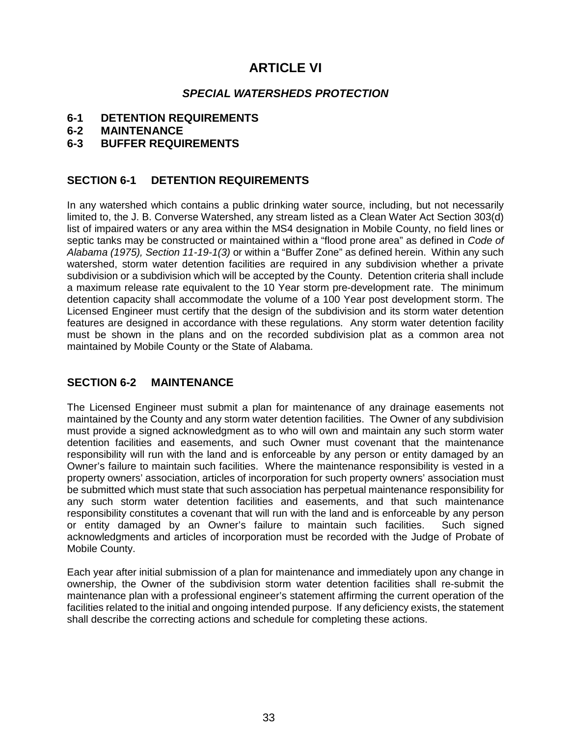# **ARTICLE VI**

### *SPECIAL WATERSHEDS PROTECTION*

- **6-1 DETENTION REQUIREMENTS**
- **6-2 MAINTENANCE**
- **6-3 BUFFER REQUIREMENTS**

### **SECTION 6-1 DETENTION REQUIREMENTS**

In any watershed which contains a public drinking water source, including, but not necessarily limited to, the J. B. Converse Watershed, any stream listed as a Clean Water Act Section 303(d) list of impaired waters or any area within the MS4 designation in Mobile County, no field lines or septic tanks may be constructed or maintained within a "flood prone area" as defined in *Code of Alabama (1975), Section 11-19-1(3)* or within a "Buffer Zone" as defined herein. Within any such watershed, storm water detention facilities are required in any subdivision whether a private subdivision or a subdivision which will be accepted by the County. Detention criteria shall include a maximum release rate equivalent to the 10 Year storm pre-development rate. The minimum detention capacity shall accommodate the volume of a 100 Year post development storm. The Licensed Engineer must certify that the design of the subdivision and its storm water detention features are designed in accordance with these regulations. Any storm water detention facility must be shown in the plans and on the recorded subdivision plat as a common area not maintained by Mobile County or the State of Alabama.

### **SECTION 6-2 MAINTENANCE**

The Licensed Engineer must submit a plan for maintenance of any drainage easements not maintained by the County and any storm water detention facilities. The Owner of any subdivision must provide a signed acknowledgment as to who will own and maintain any such storm water detention facilities and easements, and such Owner must covenant that the maintenance responsibility will run with the land and is enforceable by any person or entity damaged by an Owner's failure to maintain such facilities. Where the maintenance responsibility is vested in a property owners' association, articles of incorporation for such property owners' association must be submitted which must state that such association has perpetual maintenance responsibility for any such storm water detention facilities and easements, and that such maintenance responsibility constitutes a covenant that will run with the land and is enforceable by any person or entity damaged by an Owner's failure to maintain such facilities. Such signed acknowledgments and articles of incorporation must be recorded with the Judge of Probate of Mobile County.

Each year after initial submission of a plan for maintenance and immediately upon any change in ownership, the Owner of the subdivision storm water detention facilities shall re-submit the maintenance plan with a professional engineer's statement affirming the current operation of the facilities related to the initial and ongoing intended purpose. If any deficiency exists, the statement shall describe the correcting actions and schedule for completing these actions.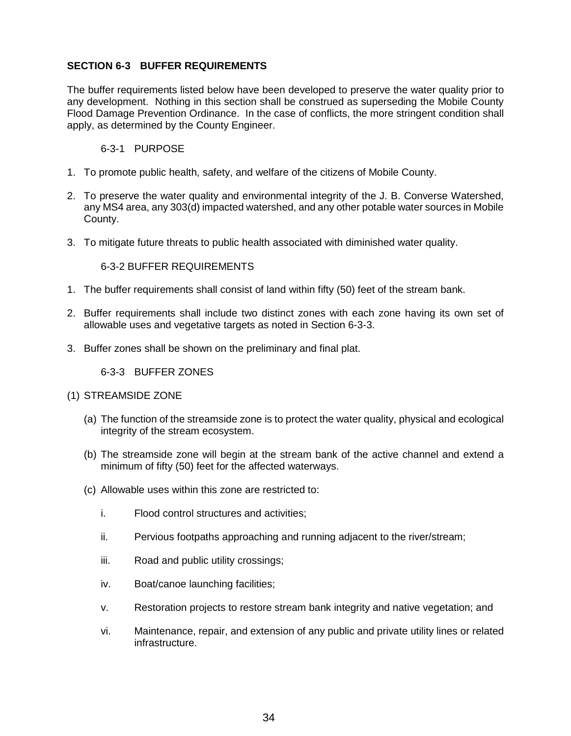### **SECTION 6-3 BUFFER REQUIREMENTS**

The buffer requirements listed below have been developed to preserve the water quality prior to any development. Nothing in this section shall be construed as superseding the Mobile County Flood Damage Prevention Ordinance. In the case of conflicts, the more stringent condition shall apply, as determined by the County Engineer.

#### 6-3-1 PURPOSE

- 1. To promote public health, safety, and welfare of the citizens of Mobile County.
- 2. To preserve the water quality and environmental integrity of the J. B. Converse Watershed, any MS4 area, any 303(d) impacted watershed, and any other potable water sources in Mobile County.
- 3. To mitigate future threats to public health associated with diminished water quality.

#### 6-3-2 BUFFER REQUIREMENTS

- 1. The buffer requirements shall consist of land within fifty (50) feet of the stream bank.
- 2. Buffer requirements shall include two distinct zones with each zone having its own set of allowable uses and vegetative targets as noted in Section 6-3-3.
- 3. Buffer zones shall be shown on the preliminary and final plat.

6-3-3 BUFFER ZONES

- (1) STREAMSIDE ZONE
	- (a) The function of the streamside zone is to protect the water quality, physical and ecological integrity of the stream ecosystem.
	- (b) The streamside zone will begin at the stream bank of the active channel and extend a minimum of fifty (50) feet for the affected waterways.
	- (c) Allowable uses within this zone are restricted to:
		- i. Flood control structures and activities;
		- ii. Pervious footpaths approaching and running adjacent to the river/stream;
		- iii. Road and public utility crossings;
		- iv. Boat/canoe launching facilities;
		- v. Restoration projects to restore stream bank integrity and native vegetation; and
		- vi. Maintenance, repair, and extension of any public and private utility lines or related infrastructure.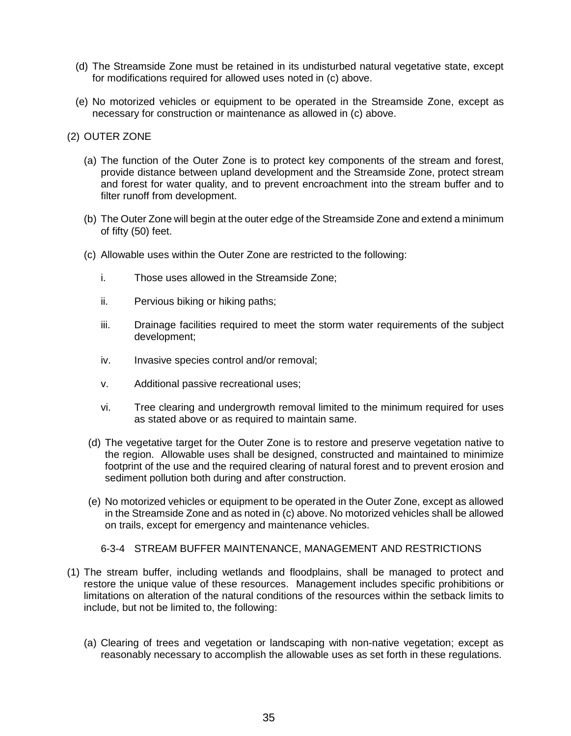- (d) The Streamside Zone must be retained in its undisturbed natural vegetative state, except for modifications required for allowed uses noted in (c) above.
- (e) No motorized vehicles or equipment to be operated in the Streamside Zone, except as necessary for construction or maintenance as allowed in (c) above.

#### (2) OUTER ZONE

- (a) The function of the Outer Zone is to protect key components of the stream and forest, provide distance between upland development and the Streamside Zone, protect stream and forest for water quality, and to prevent encroachment into the stream buffer and to filter runoff from development.
- (b) The Outer Zone will begin at the outer edge of the Streamside Zone and extend a minimum of fifty (50) feet.
- (c) Allowable uses within the Outer Zone are restricted to the following:
	- i. Those uses allowed in the Streamside Zone;
	- ii. Pervious biking or hiking paths;
	- iii. Drainage facilities required to meet the storm water requirements of the subject development;
	- iv. Invasive species control and/or removal;
	- v. Additional passive recreational uses;
	- vi. Tree clearing and undergrowth removal limited to the minimum required for uses as stated above or as required to maintain same.
- (d) The vegetative target for the Outer Zone is to restore and preserve vegetation native to the region. Allowable uses shall be designed, constructed and maintained to minimize footprint of the use and the required clearing of natural forest and to prevent erosion and sediment pollution both during and after construction.
- (e) No motorized vehicles or equipment to be operated in the Outer Zone, except as allowed in the Streamside Zone and as noted in (c) above. No motorized vehicles shall be allowed on trails, except for emergency and maintenance vehicles.

#### 6-3-4 STREAM BUFFER MAINTENANCE, MANAGEMENT AND RESTRICTIONS

- (1) The stream buffer, including wetlands and floodplains, shall be managed to protect and restore the unique value of these resources. Management includes specific prohibitions or limitations on alteration of the natural conditions of the resources within the setback limits to include, but not be limited to, the following:
	- (a) Clearing of trees and vegetation or landscaping with non-native vegetation; except as reasonably necessary to accomplish the allowable uses as set forth in these regulations.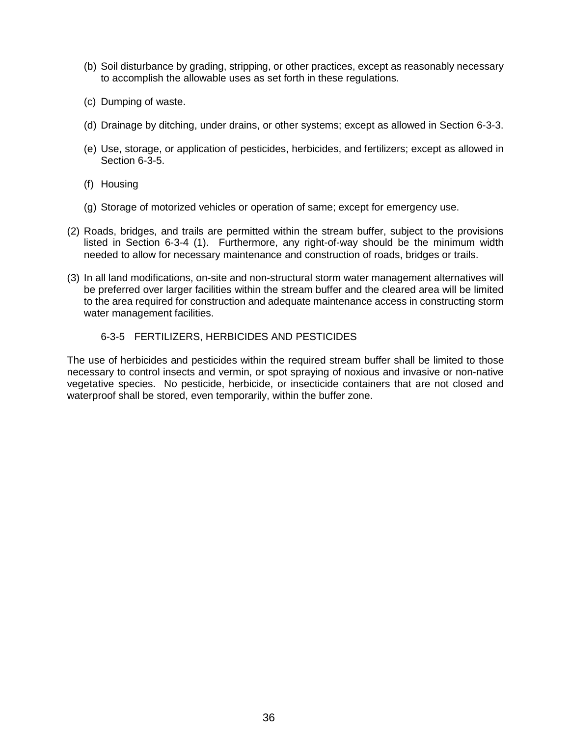- (b) Soil disturbance by grading, stripping, or other practices, except as reasonably necessary to accomplish the allowable uses as set forth in these regulations.
- (c) Dumping of waste.
- (d) Drainage by ditching, under drains, or other systems; except as allowed in Section 6-3-3.
- (e) Use, storage, or application of pesticides, herbicides, and fertilizers; except as allowed in Section 6-3-5.
- (f) Housing
- (g) Storage of motorized vehicles or operation of same; except for emergency use.
- (2) Roads, bridges, and trails are permitted within the stream buffer, subject to the provisions listed in Section 6-3-4 (1). Furthermore, any right-of-way should be the minimum width needed to allow for necessary maintenance and construction of roads, bridges or trails.
- (3) In all land modifications, on-site and non-structural storm water management alternatives will be preferred over larger facilities within the stream buffer and the cleared area will be limited to the area required for construction and adequate maintenance access in constructing storm water management facilities.

#### 6-3-5 FERTILIZERS, HERBICIDES AND PESTICIDES

The use of herbicides and pesticides within the required stream buffer shall be limited to those necessary to control insects and vermin, or spot spraying of noxious and invasive or non-native vegetative species. No pesticide, herbicide, or insecticide containers that are not closed and waterproof shall be stored, even temporarily, within the buffer zone.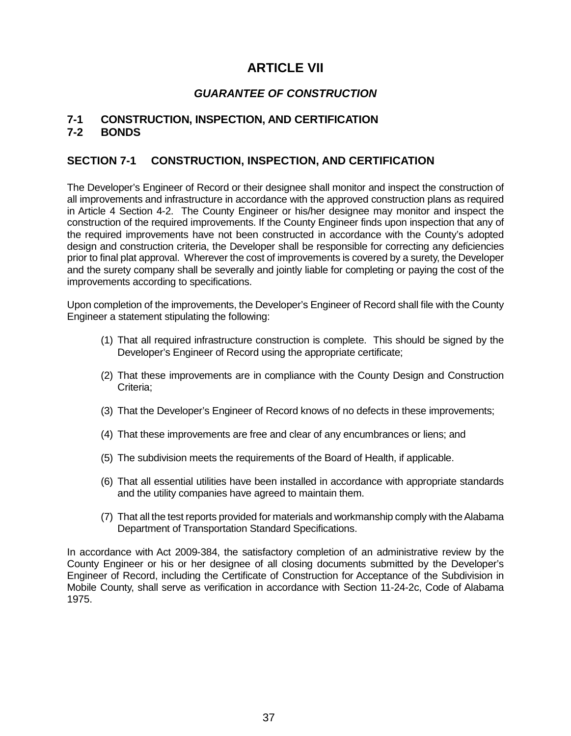# **ARTICLE VII**

### *GUARANTEE OF CONSTRUCTION*

### **7-1 CONSTRUCTION, INSPECTION, AND CERTIFICATION 7-2 BONDS**

### **SECTION 7-1 CONSTRUCTION, INSPECTION, AND CERTIFICATION**

The Developer's Engineer of Record or their designee shall monitor and inspect the construction of all improvements and infrastructure in accordance with the approved construction plans as required in Article 4 Section 4-2. The County Engineer or his/her designee may monitor and inspect the construction of the required improvements. If the County Engineer finds upon inspection that any of the required improvements have not been constructed in accordance with the County's adopted design and construction criteria, the Developer shall be responsible for correcting any deficiencies prior to final plat approval. Wherever the cost of improvements is covered by a surety, the Developer and the surety company shall be severally and jointly liable for completing or paying the cost of the improvements according to specifications.

Upon completion of the improvements, the Developer's Engineer of Record shall file with the County Engineer a statement stipulating the following:

- (1) That all required infrastructure construction is complete. This should be signed by the Developer's Engineer of Record using the appropriate certificate;
- (2) That these improvements are in compliance with the County Design and Construction Criteria;
- (3) That the Developer's Engineer of Record knows of no defects in these improvements;
- (4) That these improvements are free and clear of any encumbrances or liens; and
- (5) The subdivision meets the requirements of the Board of Health, if applicable.
- (6) That all essential utilities have been installed in accordance with appropriate standards and the utility companies have agreed to maintain them.
- (7) That all the test reports provided for materials and workmanship comply with the Alabama Department of Transportation Standard Specifications.

In accordance with Act 2009-384, the satisfactory completion of an administrative review by the County Engineer or his or her designee of all closing documents submitted by the Developer's Engineer of Record, including the Certificate of Construction for Acceptance of the Subdivision in Mobile County, shall serve as verification in accordance with Section 11-24-2c, Code of Alabama 1975.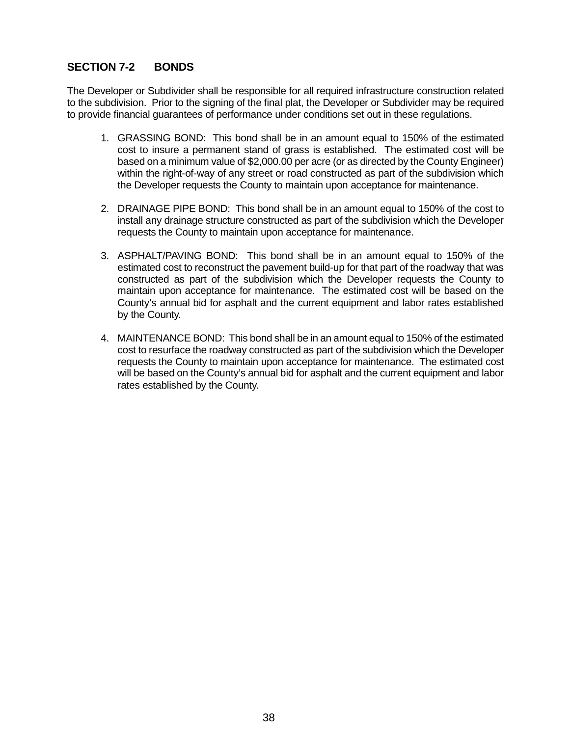### **SECTION 7-2 BONDS**

The Developer or Subdivider shall be responsible for all required infrastructure construction related to the subdivision. Prior to the signing of the final plat, the Developer or Subdivider may be required to provide financial guarantees of performance under conditions set out in these regulations.

- 1. GRASSING BOND: This bond shall be in an amount equal to 150% of the estimated cost to insure a permanent stand of grass is established. The estimated cost will be based on a minimum value of \$2,000.00 per acre (or as directed by the County Engineer) within the right-of-way of any street or road constructed as part of the subdivision which the Developer requests the County to maintain upon acceptance for maintenance.
- 2. DRAINAGE PIPE BOND: This bond shall be in an amount equal to 150% of the cost to install any drainage structure constructed as part of the subdivision which the Developer requests the County to maintain upon acceptance for maintenance.
- 3. ASPHALT/PAVING BOND: This bond shall be in an amount equal to 150% of the estimated cost to reconstruct the pavement build-up for that part of the roadway that was constructed as part of the subdivision which the Developer requests the County to maintain upon acceptance for maintenance. The estimated cost will be based on the County's annual bid for asphalt and the current equipment and labor rates established by the County.
- 4. MAINTENANCE BOND: This bond shall be in an amount equal to 150% of the estimated cost to resurface the roadway constructed as part of the subdivision which the Developer requests the County to maintain upon acceptance for maintenance. The estimated cost will be based on the County's annual bid for asphalt and the current equipment and labor rates established by the County.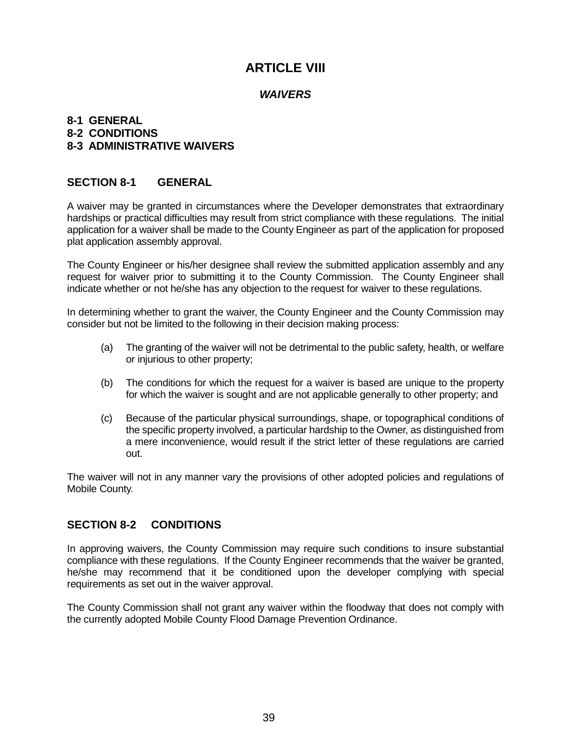## **ARTICLE VIII**

#### *WAIVERS*

### **8-1 GENERAL 8-2 CONDITIONS 8-3 ADMINISTRATIVE WAIVERS**

### **SECTION 8-1 GENERAL**

A waiver may be granted in circumstances where the Developer demonstrates that extraordinary hardships or practical difficulties may result from strict compliance with these regulations. The initial application for a waiver shall be made to the County Engineer as part of the application for proposed plat application assembly approval.

The County Engineer or his/her designee shall review the submitted application assembly and any request for waiver prior to submitting it to the County Commission. The County Engineer shall indicate whether or not he/she has any objection to the request for waiver to these regulations.

In determining whether to grant the waiver, the County Engineer and the County Commission may consider but not be limited to the following in their decision making process:

- (a) The granting of the waiver will not be detrimental to the public safety, health, or welfare or injurious to other property;
- (b) The conditions for which the request for a waiver is based are unique to the property for which the waiver is sought and are not applicable generally to other property; and
- (c) Because of the particular physical surroundings, shape, or topographical conditions of the specific property involved, a particular hardship to the Owner, as distinguished from a mere inconvenience, would result if the strict letter of these regulations are carried out.

The waiver will not in any manner vary the provisions of other adopted policies and regulations of Mobile County.

### **SECTION 8-2 CONDITIONS**

In approving waivers, the County Commission may require such conditions to insure substantial compliance with these regulations. If the County Engineer recommends that the waiver be granted, he/she may recommend that it be conditioned upon the developer complying with special requirements as set out in the waiver approval.

The County Commission shall not grant any waiver within the floodway that does not comply with the currently adopted Mobile County Flood Damage Prevention Ordinance.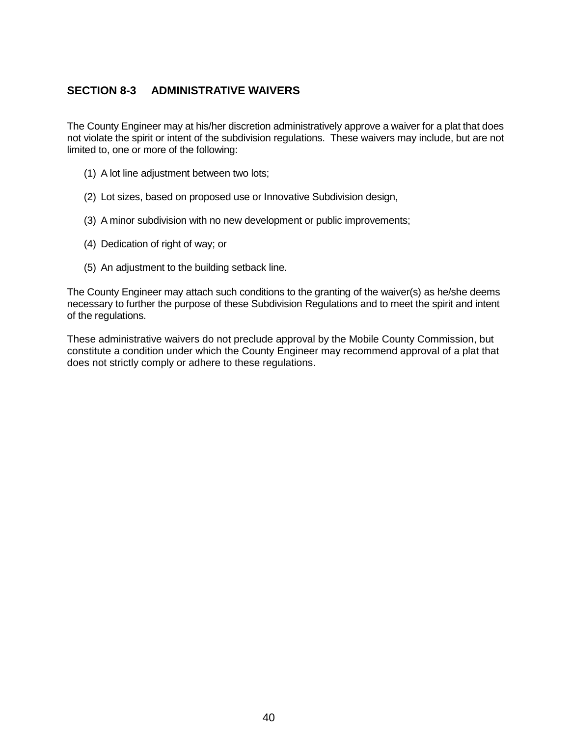### **SECTION 8-3 ADMINISTRATIVE WAIVERS**

The County Engineer may at his/her discretion administratively approve a waiver for a plat that does not violate the spirit or intent of the subdivision regulations. These waivers may include, but are not limited to, one or more of the following:

- (1) A lot line adjustment between two lots;
- (2) Lot sizes, based on proposed use or Innovative Subdivision design,
- (3) A minor subdivision with no new development or public improvements;
- (4) Dedication of right of way; or
- (5) An adjustment to the building setback line.

The County Engineer may attach such conditions to the granting of the waiver(s) as he/she deems necessary to further the purpose of these Subdivision Regulations and to meet the spirit and intent of the regulations.

These administrative waivers do not preclude approval by the Mobile County Commission, but constitute a condition under which the County Engineer may recommend approval of a plat that does not strictly comply or adhere to these regulations.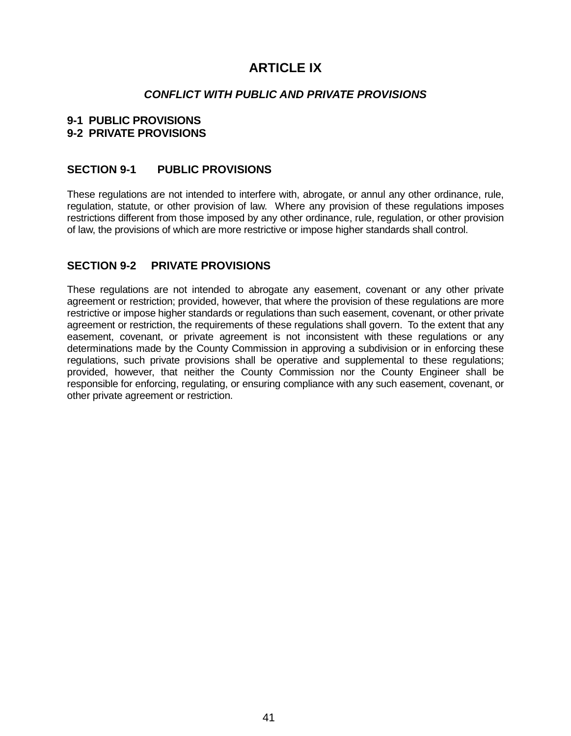# **ARTICLE IX**

### *CONFLICT WITH PUBLIC AND PRIVATE PROVISIONS*

### **9-1 PUBLIC PROVISIONS 9-2 PRIVATE PROVISIONS**

### **SECTION 9-1 PUBLIC PROVISIONS**

These regulations are not intended to interfere with, abrogate, or annul any other ordinance, rule, regulation, statute, or other provision of law. Where any provision of these regulations imposes restrictions different from those imposed by any other ordinance, rule, regulation, or other provision of law, the provisions of which are more restrictive or impose higher standards shall control.

### **SECTION 9-2 PRIVATE PROVISIONS**

These regulations are not intended to abrogate any easement, covenant or any other private agreement or restriction; provided, however, that where the provision of these regulations are more restrictive or impose higher standards or regulations than such easement, covenant, or other private agreement or restriction, the requirements of these regulations shall govern. To the extent that any easement, covenant, or private agreement is not inconsistent with these regulations or any determinations made by the County Commission in approving a subdivision or in enforcing these regulations, such private provisions shall be operative and supplemental to these regulations; provided, however, that neither the County Commission nor the County Engineer shall be responsible for enforcing, regulating, or ensuring compliance with any such easement, covenant, or other private agreement or restriction.